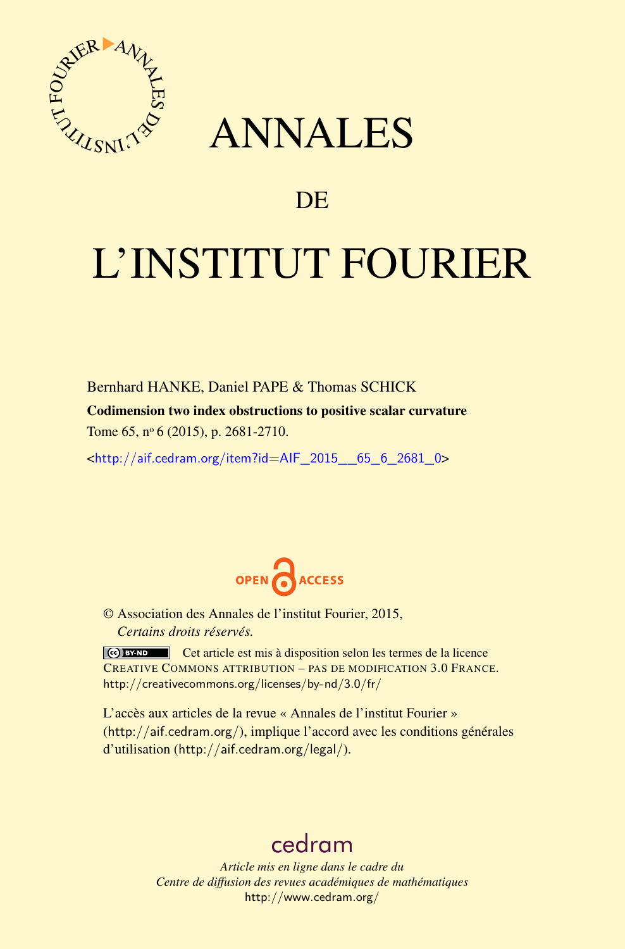

## ANNALES

### **DE**

# L'INSTITUT FOURIER

Bernhard HANKE, Daniel PAPE & Thomas SCHICK

Codimension two index obstructions to positive scalar curvature

Tome 65, nº 6 (2015), p. 2681-2710.

 $\kappa$ http://aif.cedram.org/item?id=AIF 2015 65 6 2681 0>



© Association des Annales de l'institut Fourier, 2015, *Certains droits réservés.*

Cet article est mis à disposition selon les termes de la licence CREATIVE COMMONS ATTRIBUTION – PAS DE MODIFICATION 3.0 FRANCE. <http://creativecommons.org/licenses/by-nd/3.0/fr/>

L'accès aux articles de la revue « Annales de l'institut Fourier » (<http://aif.cedram.org/>), implique l'accord avec les conditions générales d'utilisation (<http://aif.cedram.org/legal/>).

## [cedram](http://www.cedram.org/)

*Article mis en ligne dans le cadre du Centre de diffusion des revues académiques de mathématiques* <http://www.cedram.org/>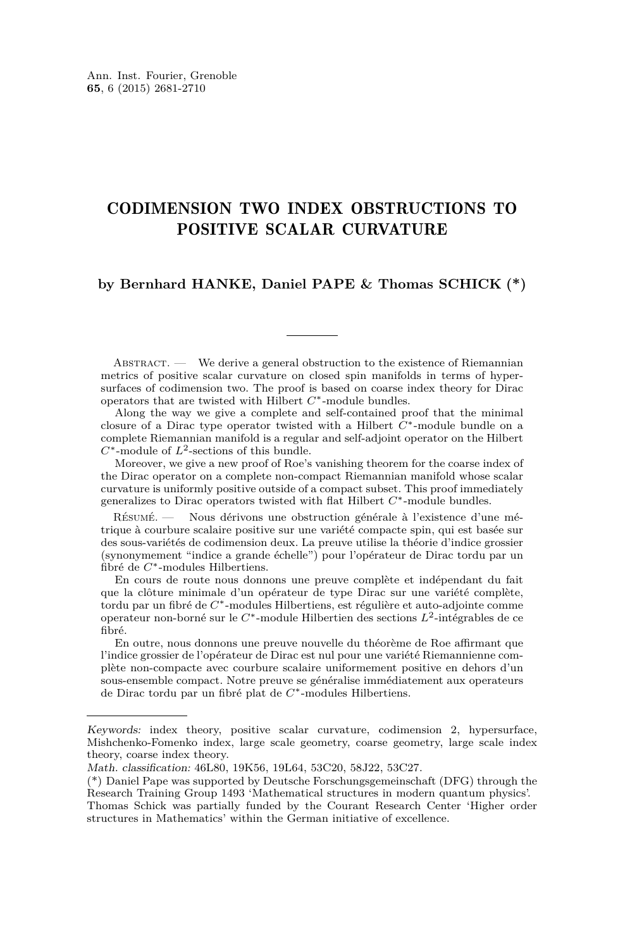#### CODIMENSION TWO INDEX OBSTRUCTIONS TO POSITIVE SCALAR CURVATURE

#### **by Bernhard HANKE, Daniel PAPE & Thomas SCHICK (\*)**

ABSTRACT. — We derive a general obstruction to the existence of Riemannian metrics of positive scalar curvature on closed spin manifolds in terms of hypersurfaces of codimension two. The proof is based on coarse index theory for Dirac operators that are twisted with Hilbert *C*∗-module bundles.

Along the way we give a complete and self-contained proof that the minimal closure of a Dirac type operator twisted with a Hilbert *C*∗-module bundle on a complete Riemannian manifold is a regular and self-adjoint operator on the Hilbert *C*∗-module of *L*<sup>2</sup> -sections of this bundle.

Moreover, we give a new proof of Roe's vanishing theorem for the coarse index of the Dirac operator on a complete non-compact Riemannian manifold whose scalar curvature is uniformly positive outside of a compact subset. This proof immediately generalizes to Dirac operators twisted with flat Hilbert *C*∗-module bundles.

Résumé. — Nous dérivons une obstruction générale à l'existence d'une métrique à courbure scalaire positive sur une variété compacte spin, qui est basée sur des sous-variétés de codimension deux. La preuve utilise la théorie d'indice grossier (synonymement "indice a grande échelle") pour l'opérateur de Dirac tordu par un fibré de *C*∗-modules Hilbertiens.

En cours de route nous donnons une preuve complète et indépendant du fait que la clôture minimale d'un opérateur de type Dirac sur une variété complète, tordu par un fibré de *C*∗-modules Hilbertiens, est régulière et auto-adjointe comme operateur non-borné sur le *C*∗-module Hilbertien des sections *L*<sup>2</sup> -intégrables de ce fibré.

En outre, nous donnons une preuve nouvelle du théorème de Roe affirmant que l'indice grossier de l'opérateur de Dirac est nul pour une variété Riemannienne complète non-compacte avec courbure scalaire uniformement positive en dehors d'un sous-ensemble compact. Notre preuve se généralise immédiatement aux operateurs de Dirac tordu par un fibré plat de *C*∗-modules Hilbertiens.

Keywords: index theory, positive scalar curvature, codimension 2, hypersurface, Mishchenko-Fomenko index, large scale geometry, coarse geometry, large scale index theory, coarse index theory.

Math. classification: 46L80, 19K56, 19L64, 53C20, 58J22, 53C27.

<sup>(\*)</sup> Daniel Pape was supported by Deutsche Forschungsgemeinschaft (DFG) through the Research Training Group 1493 'Mathematical structures in modern quantum physics'. Thomas Schick was partially funded by the Courant Research Center 'Higher order structures in Mathematics' within the German initiative of excellence.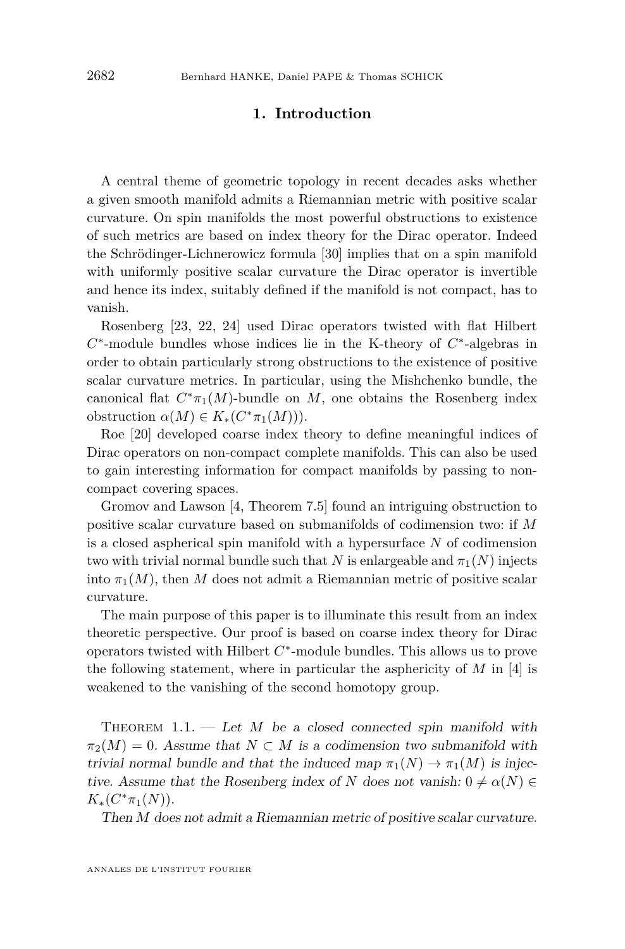#### **1. Introduction**

<span id="page-2-0"></span>A central theme of geometric topology in recent decades asks whether a given smooth manifold admits a Riemannian metric with positive scalar curvature. On spin manifolds the most powerful obstructions to existence of such metrics are based on index theory for the Dirac operator. Indeed the Schrödinger-Lichnerowicz formula [\[30\]](#page-29-0) implies that on a spin manifold with uniformly positive scalar curvature the Dirac operator is invertible and hence its index, suitably defined if the manifold is not compact, has to vanish.

Rosenberg [\[23,](#page-29-0) [22,](#page-29-0) [24\]](#page-29-0) used Dirac operators twisted with flat Hilbert *C*<sup>\*</sup>-module bundles whose indices lie in the K-theory of *C*<sup>\*</sup>-algebras in order to obtain particularly strong obstructions to the existence of positive scalar curvature metrics. In particular, using the Mishchenko bundle, the canonical flat  $C^* \pi_1(M)$ -bundle on  $M$ , one obtains the Rosenberg index  $\text{obstruction } \alpha(M) \in K_*(C^*\pi_1(M))).$ 

Roe [\[20\]](#page-29-0) developed coarse index theory to define meaningful indices of Dirac operators on non-compact complete manifolds. This can also be used to gain interesting information for compact manifolds by passing to noncompact covering spaces.

Gromov and Lawson [\[4,](#page-28-0) Theorem 7.5] found an intriguing obstruction to positive scalar curvature based on submanifolds of codimension two: if *M* is a closed aspherical spin manifold with a hypersurface *N* of codimension two with trivial normal bundle such that *N* is enlargeable and  $\pi_1(N)$  injects into  $\pi_1(M)$ , then M does not admit a Riemannian metric of positive scalar curvature.

The main purpose of this paper is to illuminate this result from an index theoretic perspective. Our proof is based on coarse index theory for Dirac operators twisted with Hilbert *C* ∗ -module bundles. This allows us to prove the following statement, where in particular the asphericity of *M* in [\[4\]](#page-28-0) is weakened to the vanishing of the second homotopy group.

THEOREM  $1.1.$  — Let *M* be a closed connected spin manifold with  $\pi_2(M) = 0$ . Assume that  $N \subset M$  is a codimension two submanifold with trivial normal bundle and that the induced map  $\pi_1(N) \to \pi_1(M)$  is injective. Assume that the Rosenberg index of *N* does not vanish:  $0 \neq \alpha(N) \in$  $K_*(C^*\pi_1(N)).$ 

Then *M* does not admit a Riemannian metric of positive scalar curvature.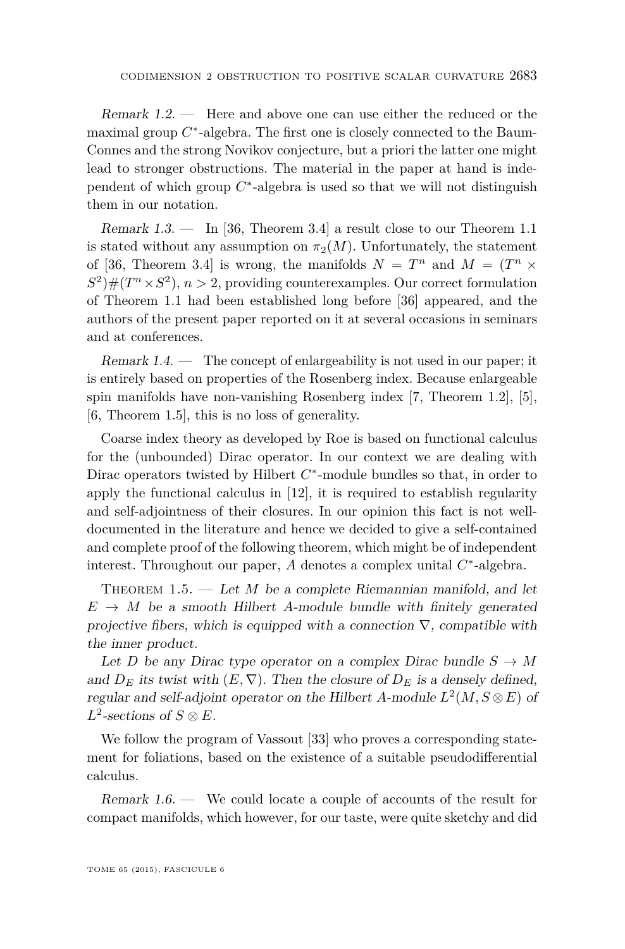<span id="page-3-0"></span>Remark 1.2. — Here and above one can use either the reduced or the maximal group  $C^*$ -algebra. The first one is closely connected to the Baum-Connes and the strong Novikov conjecture, but a priori the latter one might lead to stronger obstructions. The material in the paper at hand is independent of which group  $C^*$ -algebra is used so that we will not distinguish them in our notation.

Remark 1.3. — In [\[36,](#page-30-0) Theorem 3.4] a result close to our Theorem [1.1](#page-2-0) is stated without any assumption on  $\pi_2(M)$ . Unfortunately, the statement of [\[36,](#page-30-0) Theorem 3.4] is wrong, the manifolds  $N = T^n$  and  $M = (T^n \times$  $S^2$   $\#(T^n \times S^2), n > 2$ , providing counterexamples. Our correct formulation of Theorem [1.1](#page-2-0) had been established long before [\[36\]](#page-30-0) appeared, and the authors of the present paper reported on it at several occasions in seminars and at conferences.

Remark  $1.4.$  — The concept of enlargeability is not used in our paper; it is entirely based on properties of the Rosenberg index. Because enlargeable spin manifolds have non-vanishing Rosenberg index [\[7,](#page-28-0) Theorem 1.2], [\[5\]](#page-28-0), [\[6,](#page-28-0) Theorem 1.5], this is no loss of generality.

Coarse index theory as developed by Roe is based on functional calculus for the (unbounded) Dirac operator. In our context we are dealing with Dirac operators twisted by Hilbert  $C^*$ -module bundles so that, in order to apply the functional calculus in [\[12\]](#page-28-0), it is required to establish regularity and self-adjointness of their closures. In our opinion this fact is not welldocumented in the literature and hence we decided to give a self-contained and complete proof of the following theorem, which might be of independent interest. Throughout our paper, *A* denotes a complex unital *C* ∗ -algebra.

THEOREM 1.5. — Let *M* be a complete Riemannian manifold, and let  $E \rightarrow M$  be a smooth Hilbert *A*-module bundle with finitely generated projective fibers, which is equipped with a connection  $\nabla$ , compatible with the inner product.

Let *D* be any Dirac type operator on a complex Dirac bundle  $S \to M$ and  $D_E$  its twist with  $(E, \nabla)$ . Then the closure of  $D_E$  is a densely defined, regular and self-adjoint operator on the Hilbert *A*-module  $L^2(M, S \otimes E)$  of  $L^2$ -sections of  $S \otimes E$ .

We follow the program of Vassout [\[33\]](#page-29-0) who proves a corresponding statement for foliations, based on the existence of a suitable pseudodifferential calculus.

Remark 1.6. — We could locate a couple of accounts of the result for compact manifolds, which however, for our taste, were quite sketchy and did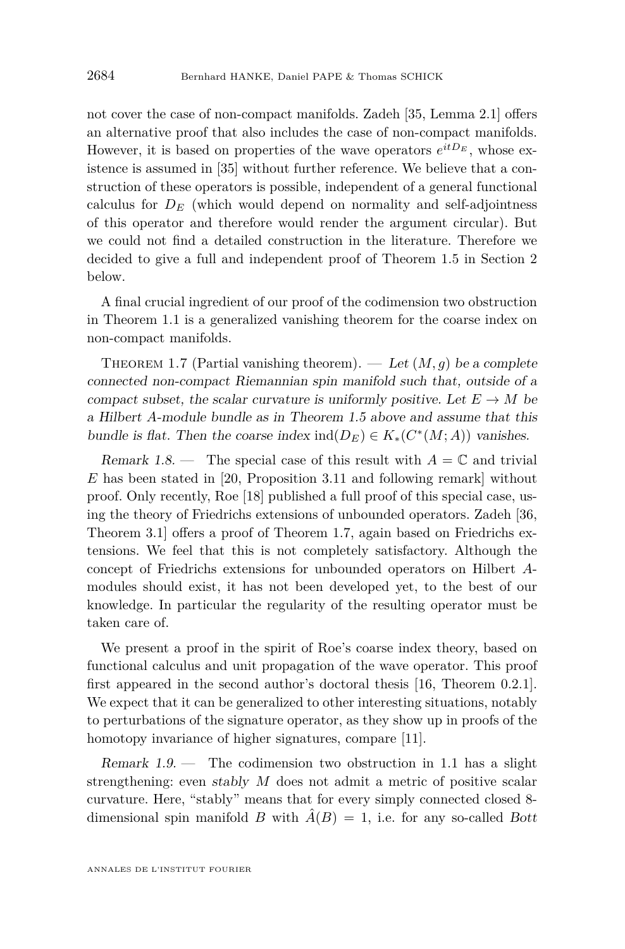<span id="page-4-0"></span>not cover the case of non-compact manifolds. Zadeh [\[35,](#page-29-0) Lemma 2.1] offers an alternative proof that also includes the case of non-compact manifolds. However, it is based on properties of the wave operators  $e^{itD_E}$ , whose existence is assumed in [\[35\]](#page-29-0) without further reference. We believe that a construction of these operators is possible, independent of a general functional calculus for  $D_E$  (which would depend on normality and self-adjointness of this operator and therefore would render the argument circular). But we could not find a detailed construction in the literature. Therefore we decided to give a full and independent proof of Theorem [1.5](#page-3-0) in Section [2](#page-5-0) below.

A final crucial ingredient of our proof of the codimension two obstruction in Theorem [1.1](#page-2-0) is a generalized vanishing theorem for the coarse index on non-compact manifolds.

THEOREM 1.7 (Partial vanishing theorem). — Let  $(M, g)$  be a complete connected non-compact Riemannian spin manifold such that, outside of a compact subset, the scalar curvature is uniformly positive. Let  $E \to M$  be a Hilbert *A*-module bundle as in Theorem [1.5](#page-3-0) above and assume that this bundle is flat. Then the coarse index  $\text{ind}(D_E) \in K_*(C^*(M; A))$  vanishes.

Remark 1.8. — The special case of this result with  $A = \mathbb{C}$  and trivial *E* has been stated in [\[20,](#page-29-0) Proposition 3.11 and following remark] without proof. Only recently, Roe [\[18\]](#page-29-0) published a full proof of this special case, using the theory of Friedrichs extensions of unbounded operators. Zadeh [\[36,](#page-30-0) Theorem 3.1] offers a proof of Theorem 1.7, again based on Friedrichs extensions. We feel that this is not completely satisfactory. Although the concept of Friedrichs extensions for unbounded operators on Hilbert *A*modules should exist, it has not been developed yet, to the best of our knowledge. In particular the regularity of the resulting operator must be taken care of.

We present a proof in the spirit of Roe's coarse index theory, based on functional calculus and unit propagation of the wave operator. This proof first appeared in the second author's doctoral thesis [\[16,](#page-29-0) Theorem 0.2.1]. We expect that it can be generalized to other interesting situations, notably to perturbations of the signature operator, as they show up in proofs of the homotopy invariance of higher signatures, compare [\[11\]](#page-28-0).

Remark  $1.9.$  — The codimension two obstruction in [1.1](#page-2-0) has a slight strengthening: even stably *M* does not admit a metric of positive scalar curvature. Here, "stably" means that for every simply connected closed 8 dimensional spin manifold *B* with  $\hat{A}(B) = 1$ , i.e. for any so-called *Bott*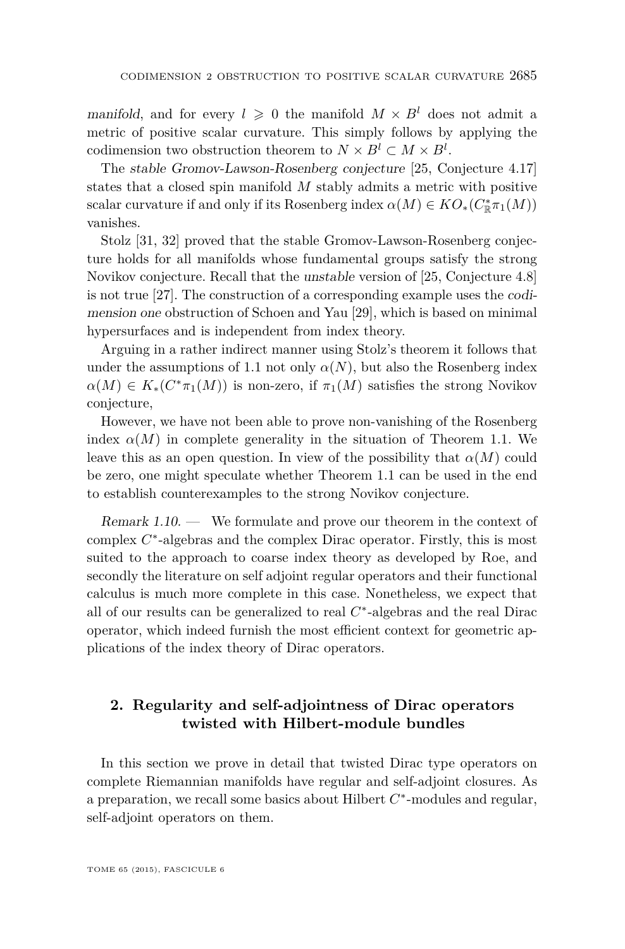<span id="page-5-0"></span>manifold, and for every  $l \geq 0$  the manifold  $M \times B^l$  does not admit a metric of positive scalar curvature. This simply follows by applying the codimension two obstruction theorem to  $N \times B^l \subset M \times B^l$ .

The stable Gromov-Lawson-Rosenberg conjecture [\[25,](#page-29-0) Conjecture 4.17] states that a closed spin manifold *M* stably admits a metric with positive scalar curvature if and only if its Rosenberg index  $\alpha(M) \in KO_*(C^*_\mathbb{R} \pi_1(M))$ vanishes.

Stolz [\[31,](#page-29-0) [32\]](#page-29-0) proved that the stable Gromov-Lawson-Rosenberg conjecture holds for all manifolds whose fundamental groups satisfy the strong Novikov conjecture. Recall that the unstable version of [\[25,](#page-29-0) Conjecture 4.8] is not true [\[27\]](#page-29-0). The construction of a corresponding example uses the codimension one obstruction of Schoen and Yau [\[29\]](#page-29-0), which is based on minimal hypersurfaces and is independent from index theory.

Arguing in a rather indirect manner using Stolz's theorem it follows that under the assumptions of [1.1](#page-2-0) not only  $\alpha(N)$ , but also the Rosenberg index  $\alpha(M) \in K_*(C^*\pi_1(M))$  is non-zero, if  $\pi_1(M)$  satisfies the strong Novikov conjecture,

However, we have not been able to prove non-vanishing of the Rosenberg index  $\alpha(M)$  in complete generality in the situation of Theorem [1.1.](#page-2-0) We leave this as an open question. In view of the possibility that  $\alpha(M)$  could be zero, one might speculate whether Theorem [1.1](#page-2-0) can be used in the end to establish counterexamples to the strong Novikov conjecture.

Remark 1.10. — We formulate and prove our theorem in the context of complex  $C^*$ -algebras and the complex Dirac operator. Firstly, this is most suited to the approach to coarse index theory as developed by Roe, and secondly the literature on self adjoint regular operators and their functional calculus is much more complete in this case. Nonetheless, we expect that all of our results can be generalized to real *C* ∗ -algebras and the real Dirac operator, which indeed furnish the most efficient context for geometric applications of the index theory of Dirac operators.

#### **2. Regularity and self-adjointness of Dirac operators twisted with Hilbert-module bundles**

In this section we prove in detail that twisted Dirac type operators on complete Riemannian manifolds have regular and self-adjoint closures. As a preparation, we recall some basics about Hilbert  $C^*$ -modules and regular, self-adjoint operators on them.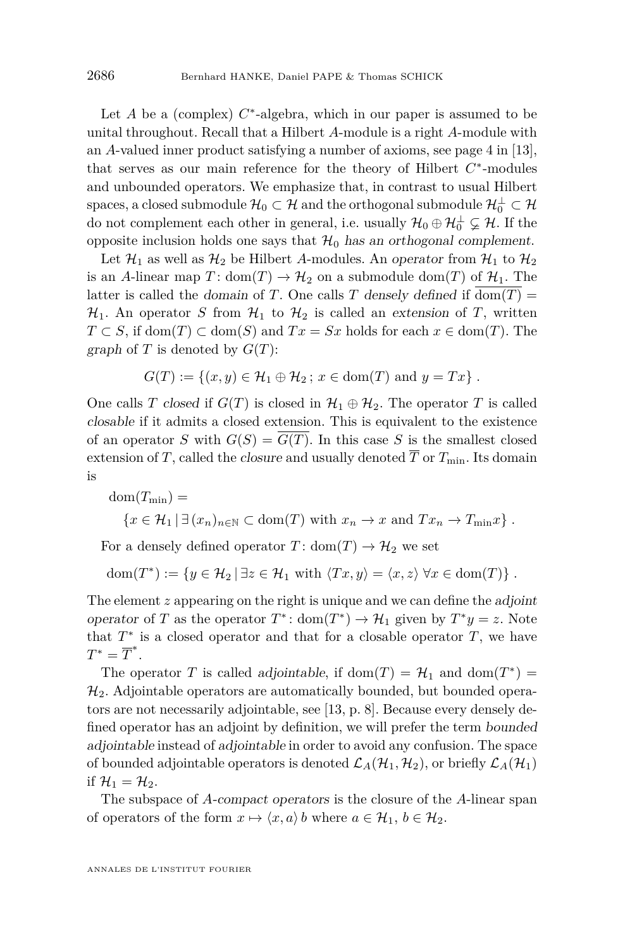Let  $A$  be a (complex)  $C^*$ -algebra, which in our paper is assumed to be unital throughout. Recall that a Hilbert *A*-module is a right *A*-module with an *A*-valued inner product satisfying a number of axioms, see page 4 in [\[13\]](#page-28-0), that serves as our main reference for the theory of Hilbert  $C^*$ -modules and unbounded operators. We emphasize that, in contrast to usual Hilbert spaces, a closed submodule  $\mathcal{H}_0\subset \mathcal{H}$  and the orthogonal submodule  $\mathcal{H}_0^\perp\subset \mathcal{H}$ do not complement each other in general, i.e. usually  $\mathcal{H}_0 \oplus \mathcal{H}_0^{\perp} \subsetneq \mathcal{H}$ . If the opposite inclusion holds one says that  $\mathcal{H}_0$  has an orthogonal complement.

Let  $\mathcal{H}_1$  as well as  $\mathcal{H}_2$  be Hilbert *A*-modules. An operator from  $\mathcal{H}_1$  to  $\mathcal{H}_2$ is an *A*-linear map  $T: dom(T) \to H_2$  on a submodule dom(*T*) of  $H_1$ . The latter is called the domain of *T*. One calls *T* densely defined if dom(*T*) =  $\mathcal{H}_1$ . An operator *S* from  $\mathcal{H}_1$  to  $\mathcal{H}_2$  is called an extension of *T*, written *T* ⊂ *S*, if dom(*T*) ⊂ dom(*S*) and *Tx* = *Sx* holds for each *x* ∈ dom(*T*). The graph of  $T$  is denoted by  $G(T)$ :

$$
G(T) := \{(x, y) \in \mathcal{H}_1 \oplus \mathcal{H}_2 \, ; \, x \in \text{dom}(T) \text{ and } y = Tx\}.
$$

One calls *T* closed if  $G(T)$  is closed in  $\mathcal{H}_1 \oplus \mathcal{H}_2$ . The operator *T* is called closable if it admits a closed extension. This is equivalent to the existence of an operator *S* with  $G(S) = G(T)$ . In this case *S* is the smallest closed extension of *T*, called the closure and usually denoted  $\overline{T}$  or  $T_{\min}$ . Its domain is

$$
dom(T_{\min}) =
$$
  

$$
\{x \in \mathcal{H}_1 \mid \exists (x_n)_{n \in \mathbb{N}} \subset dom(T) \text{ with } x_n \to x \text{ and } Tx_n \to T_{\min}x\}.
$$

For a densely defined operator  $T: dom(T) \rightarrow H_2$  we set

 $dom(T^*) := \{ y \in \mathcal{H}_2 \mid \exists z \in \mathcal{H}_1 \text{ with } \langle Tx, y \rangle = \langle x, z \rangle \ \forall x \in dom(T) \} .$ 

The element *z* appearing on the right is unique and we can define the adjoint operator of *T* as the operator  $T^*$ : dom $(T^*) \to H_1$  given by  $T^*y = z$ . Note that  $T^*$  is a closed operator and that for a closable operator  $T$ , we have  $T^* = \overline{T}^*.$ 

The operator *T* is called adjointable, if dom(*T*) =  $\mathcal{H}_1$  and dom(*T*<sup>\*</sup>) =  $\mathcal{H}_2$ . Adjointable operators are automatically bounded, but bounded operators are not necessarily adjointable, see [\[13,](#page-28-0) p. 8]. Because every densely defined operator has an adjoint by definition, we will prefer the term bounded adjointable instead of adjointable in order to avoid any confusion. The space of bounded adjointable operators is denoted  $\mathcal{L}_A(\mathcal{H}_1, \mathcal{H}_2)$ , or briefly  $\mathcal{L}_A(\mathcal{H}_1)$ if  $\mathcal{H}_1 = \mathcal{H}_2$ .

The subspace of *A*-compact operators is the closure of the *A*-linear span of operators of the form  $x \mapsto \langle x, a \rangle$  *b* where  $a \in \mathcal{H}_1$ ,  $b \in \mathcal{H}_2$ .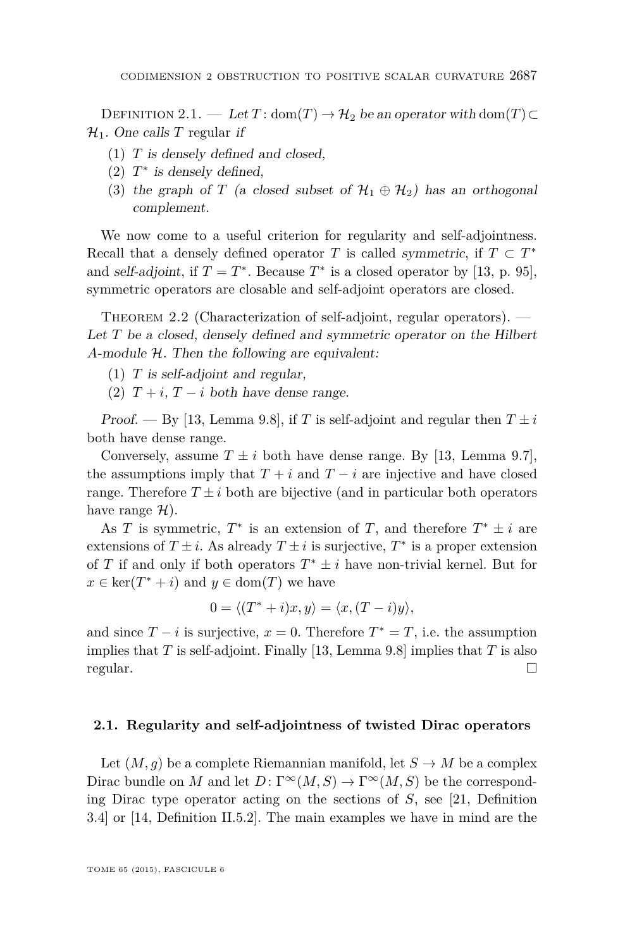<span id="page-7-0"></span>DEFINITION 2.1. — Let  $T: dom(T) \rightarrow H_2$  be an operator with dom( $T$ )⊂  $\mathcal{H}_1$ . One calls T regular if

- (1) *T* is densely defined and closed,
- $(2)$   $T^*$  is densely defined,
- (3) the graph of *T* (a closed subset of  $\mathcal{H}_1 \oplus \mathcal{H}_2$ ) has an orthogonal complement.

We now come to a useful criterion for regularity and self-adjointness. Recall that a densely defined operator *T* is called symmetric, if  $T \subset T^*$ and self-adjoint, if  $T = T^*$ . Because  $T^*$  is a closed operator by [\[13,](#page-28-0) p. 95], symmetric operators are closable and self-adjoint operators are closed.

THEOREM 2.2 (Characterization of self-adjoint, regular operators). — Let *T* be a closed, densely defined and symmetric operator on the Hilbert *A*-module H. Then the following are equivalent:

- (1) *T* is self-adjoint and regular,
- (2)  $T + i$ ,  $T i$  both have dense range.

Proof. — By [\[13,](#page-28-0) Lemma 9.8], if *T* is self-adjoint and regular then  $T \pm i$ both have dense range.

Conversely, assume  $T \pm i$  both have dense range. By [\[13,](#page-28-0) Lemma 9.7], the assumptions imply that  $T + i$  and  $T - i$  are injective and have closed range. Therefore  $T \pm i$  both are bijective (and in particular both operators have range  $\mathcal{H}$ ).

As *T* is symmetric,  $T^*$  is an extension of *T*, and therefore  $T^* \pm i$  are extensions of  $T \pm i$ . As already  $T \pm i$  is surjective,  $T^*$  is a proper extension of *T* if and only if both operators  $T^* \pm i$  have non-trivial kernel. But for  $x \in \ker(T^* + i)$  and  $y \in \text{dom}(T)$  we have

$$
0 = \langle (T^* + i)x, y \rangle = \langle x, (T - i)y \rangle,
$$

and since  $T - i$  is surjective,  $x = 0$ . Therefore  $T^* = T$ , i.e. the assumption implies that *T* is self-adjoint. Finally [\[13,](#page-28-0) Lemma 9.8] implies that *T* is also regular.

#### **2.1. Regularity and self-adjointness of twisted Dirac operators**

Let  $(M, q)$  be a complete Riemannian manifold, let  $S \to M$  be a complex Dirac bundle on *M* and let  $D: \Gamma^\infty(M, S) \to \Gamma^\infty(M, S)$  be the corresponding Dirac type operator acting on the sections of *S*, see [\[21,](#page-29-0) Definition 3.4] or [\[14,](#page-28-0) Definition II.5.2]. The main examples we have in mind are the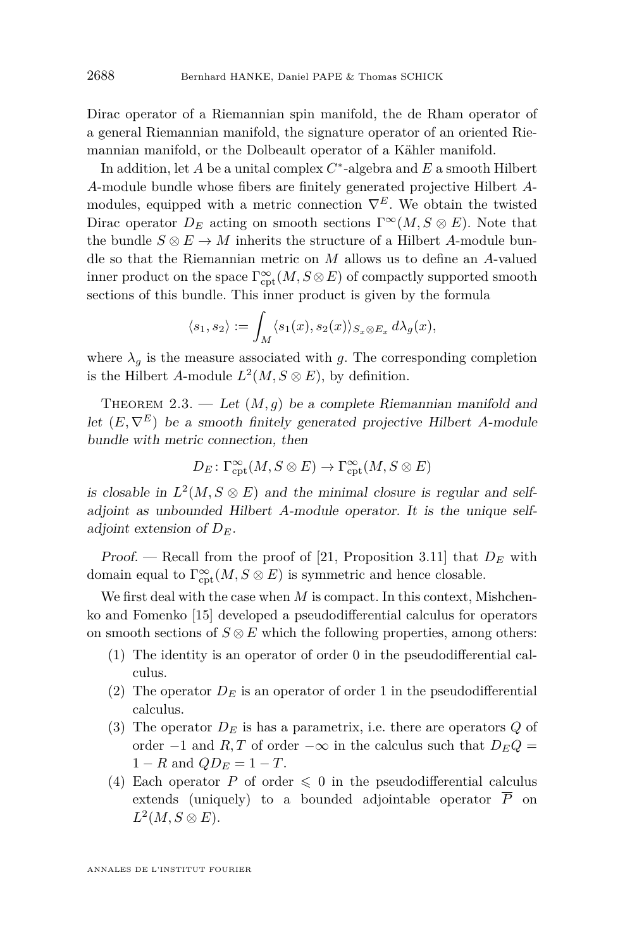<span id="page-8-0"></span>Dirac operator of a Riemannian spin manifold, the de Rham operator of a general Riemannian manifold, the signature operator of an oriented Riemannian manifold, or the Dolbeault operator of a Kähler manifold.

In addition, let *A* be a unital complex *C* ∗ -algebra and *E* a smooth Hilbert *A*-module bundle whose fibers are finitely generated projective Hilbert *A*modules, equipped with a metric connection  $\nabla^{E}$ . We obtain the twisted Dirac operator  $D_E$  acting on smooth sections  $\Gamma^\infty(M, S \otimes E)$ . Note that the bundle  $S \otimes E \to M$  inherits the structure of a Hilbert *A*-module bundle so that the Riemannian metric on *M* allows us to define an *A*-valued inner product on the space  $\Gamma^\infty_{\mathrm{cpt}}(M, S \otimes E)$  of compactly supported smooth sections of this bundle. This inner product is given by the formula

$$
\langle s_1, s_2 \rangle := \int_M \langle s_1(x), s_2(x) \rangle_{S_x \otimes E_x} d\lambda_g(x),
$$

where  $\lambda_g$  is the measure associated with *g*. The corresponding completion is the Hilbert *A*-module  $L^2(M, S \otimes E)$ , by definition.

THEOREM 2.3. — Let  $(M, g)$  be a complete Riemannian manifold and let  $(E, \nabla^E)$  be a smooth finitely generated projective Hilbert *A*-module bundle with metric connection, then

$$
D_E\colon \Gamma^\infty_{\mathrm{cpt}}(M,S\otimes E)\to \Gamma^\infty_{\mathrm{cpt}}(M,S\otimes E)
$$

is closable in  $L^2(M, S \otimes E)$  and the minimal closure is regular and selfadjoint as unbounded Hilbert *A*-module operator. It is the unique selfadjoint extension of *DE*.

Proof. — Recall from the proof of [\[21,](#page-29-0) Proposition 3.11] that *D<sup>E</sup>* with domain equal to  $\Gamma_{\text{cpt}}^{\infty}(M, S \otimes E)$  is symmetric and hence closable.

We first deal with the case when *M* is compact. In this context, Mishchenko and Fomenko [\[15\]](#page-29-0) developed a pseudodifferential calculus for operators on smooth sections of  $S \otimes E$  which the following properties, among others:

- (1) The identity is an operator of order 0 in the pseudodifferential calculus.
- (2) The operator  $D_E$  is an operator of order 1 in the pseudodifferential calculus.
- (3) The operator  $D_E$  is has a parametrix, i.e. there are operators  $Q$  of order  $-1$  and *R,T* of order  $-\infty$  in the calculus such that  $D_EQ =$  $1 - R$  and  $QD_E = 1 - T$ .
- (4) Each operator P of order  $\leq 0$  in the pseudodifferential calculus extends (uniquely) to a bounded adjointable operator  $\overline{P}$  on  $L^2(M, S \otimes E).$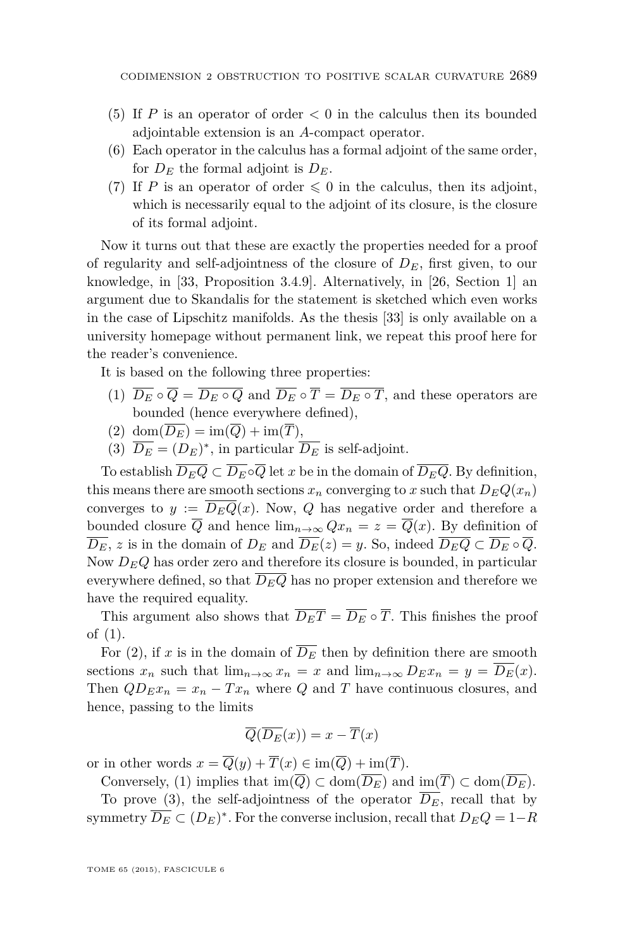- <span id="page-9-0"></span>(5) If *P* is an operator of order  $\lt 0$  in the calculus then its bounded adjointable extension is an *A*-compact operator.
- (6) Each operator in the calculus has a formal adjoint of the same order, for  $D_E$  the formal adjoint is  $D_E$ .
- (7) If *P* is an operator of order  $\leq 0$  in the calculus, then its adjoint, which is necessarily equal to the adjoint of its closure, is the closure of its formal adjoint.

Now it turns out that these are exactly the properties needed for a proof of regularity and self-adjointness of the closure of *DE*, first given, to our knowledge, in [\[33,](#page-29-0) Proposition 3.4.9]. Alternatively, in [\[26,](#page-29-0) Section 1] an argument due to Skandalis for the statement is sketched which even works in the case of Lipschitz manifolds. As the thesis [\[33\]](#page-29-0) is only available on a university homepage without permanent link, we repeat this proof here for the reader's convenience.

It is based on the following three properties:

- (1)  $\overline{D_E} \circ \overline{Q} = \overline{D_E \circ Q}$  and  $\overline{D_E} \circ \overline{T} = \overline{D_E \circ T}$ , and these operators are bounded (hence everywhere defined),
- (2) dom $(\overline{D_E}) = \text{im}(\overline{Q}) + \text{im}(\overline{T}),$
- (3)  $\overline{D_E} = (D_E)^*$ , in particular  $\overline{D_E}$  is self-adjoint.

To establish  $\overline{D_{E}Q} \subset \overline{D_{E}} \circ \overline{Q}$  let *x* be in the domain of  $\overline{D_{E}Q}$ . By definition, this means there are smooth sections  $x_n$  converging to *x* such that  $D_EQ(x_n)$ converges to  $y := \overline{D_EQ}(x)$ . Now, Q has negative order and therefore a bounded closure  $\overline{Q}$  and hence  $\lim_{n\to\infty} Qx_n = z = \overline{Q}(x)$ . By definition of  $\overline{D_E}$ , *z* is in the domain of  $D_E$  and  $\overline{D_E}(z) = y$ . So, indeed  $\overline{D_EQ} \subset \overline{D_E} \circ \overline{Q}$ . Now  $D_EQ$  has order zero and therefore its closure is bounded, in particular everywhere defined, so that  $\overline{D_EQ}$  has no proper extension and therefore we have the required equality.

This argument also shows that  $\overline{D_E T} = \overline{D_E} \circ \overline{T}$ . This finishes the proof of (1).

For (2), if *x* is in the domain of  $\overline{D_E}$  then by definition there are smooth sections  $x_n$  such that  $\lim_{n\to\infty} x_n = x$  and  $\lim_{n\to\infty} D_E x_n = y = \overline{D_E}(x)$ . Then  $QD_{E}x_{n} = x_{n} - Tx_{n}$  where *Q* and *T* have continuous closures, and hence, passing to the limits

$$
\overline{Q}(\overline{D_E}(x)) = x - \overline{T}(x)
$$

or in other words  $x = \overline{Q}(y) + \overline{T}(x) \in \text{im}(\overline{Q}) + \text{im}(\overline{T}).$ 

Conversely, (1) implies that  $\text{im}(\overline{Q}) \subset \text{dom}(\overline{D_E})$  and  $\text{im}(\overline{T}) \subset \text{dom}(\overline{D_E})$ .

To prove (3), the self-adjointness of the operator  $\overline{D_E}$ , recall that by symmetry  $\overline{D_E} \subset (D_E)^*$ . For the converse inclusion, recall that  $D_E Q = 1 - R$ 

TOME 65 (2015), FASCICULE 6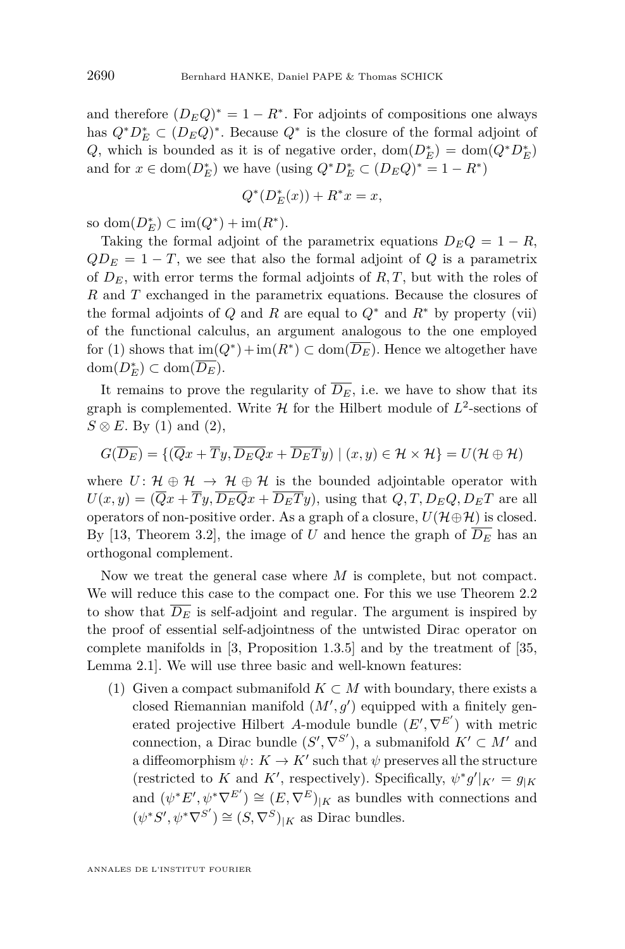and therefore  $(D_E Q)^* = 1 - R^*$ . For adjoints of compositions one always has  $Q^*D_E^* \subset (D_EQ)^*$ . Because  $Q^*$  is the closure of the formal adjoint of *Q*, which is bounded as it is of negative order,  $dom(D_E^*) = dom(Q^*D_E^*)$ and for  $x \in \text{dom}(D_E^*)$  we have (using  $Q^*D_E^* \subset (D_E Q)^* = 1 - R^*$ )

$$
Q^*(D_E^*(x)) + R^*x = x,
$$

so dom( $D_E^*$ ) ⊂ im( $Q^*$ ) + im( $R^*$ ).

Taking the formal adjoint of the parametrix equations  $D_E Q = 1 - R$ ,  $QD<sub>E</sub> = 1 - T$ , we see that also the formal adjoint of *Q* is a parametrix of  $D_E$ , with error terms the formal adjoints of  $R, T$ , but with the roles of *R* and *T* exchanged in the parametrix equations. Because the closures of the formal adjoints of *Q* and *R* are equal to  $Q^*$  and  $R^*$  by property (vii) of the functional calculus, an argument analogous to the one employed for [\(1\)](#page-9-0) shows that  $\text{im}(Q^*) + \text{im}(R^*) \subset \text{dom}(\overline{D_E})$ . Hence we altogether have  $dom(D_E^*)$  ⊂  $dom(\overline{D_E})$ .

It remains to prove the regularity of  $\overline{D_E}$ , i.e. we have to show that its graph is complemented. Write  $H$  for the Hilbert module of  $L^2$ -sections of  $S \otimes E$ . By [\(1\)](#page-9-0) and [\(2\)](#page-9-0),

$$
G(\overline{D_E}) = \{(\overline{Q}x + \overline{T}y, \overline{D_EQ}x + \overline{D_ET}y) | (x, y) \in \mathcal{H} \times \mathcal{H}\} = U(\mathcal{H} \oplus \mathcal{H})
$$

where  $U: \mathcal{H} \oplus \mathcal{H} \rightarrow \mathcal{H} \oplus \mathcal{H}$  is the bounded adjointable operator with  $U(x, y) = (\overline{Q}x + \overline{T}y, \overline{D_EQ}x + \overline{D_ET}y)$ , using that  $Q, T, D_EQ, D_ET$  are all operators of non-positive order. As a graph of a closure,  $U(\mathcal{H}\oplus\mathcal{H})$  is closed. By [\[13,](#page-28-0) Theorem 3.2], the image of *U* and hence the graph of  $\overline{D_E}$  has an orthogonal complement.

Now we treat the general case where *M* is complete, but not compact. We will reduce this case to the compact one. For this we use Theorem [2.2](#page-7-0) to show that  $\overline{D_E}$  is self-adjoint and regular. The argument is inspired by the proof of essential self-adjointness of the untwisted Dirac operator on complete manifolds in [\[3,](#page-28-0) Proposition 1.3.5] and by the treatment of [\[35,](#page-29-0) Lemma 2.1]. We will use three basic and well-known features:

(1) Given a compact submanifold  $K \subset M$  with boundary, there exists a closed Riemannian manifold  $(M', g')$  equipped with a finitely generated projective Hilbert *A*-module bundle  $(E', \nabla^{E'})$  with metric connection, a Dirac bundle  $(S', \nabla^{S'})$ , a submanifold  $K' \subset M'$  and a diffeomorphism  $\psi: K \to K'$  such that  $\psi$  preserves all the structure (restricted to *K* and *K'*, respectively). Specifically,  $\psi^* g'|_{K'} = g_{|K}$ and  $(\psi^* E', \psi^* \nabla^{E'}) \cong (E, \nabla^{E})_{|K}$  as bundles with connections and  $(\psi^*S', \psi^*\nabla^{S'}) \cong (S, \nabla^S)_{|K}$  as Dirac bundles.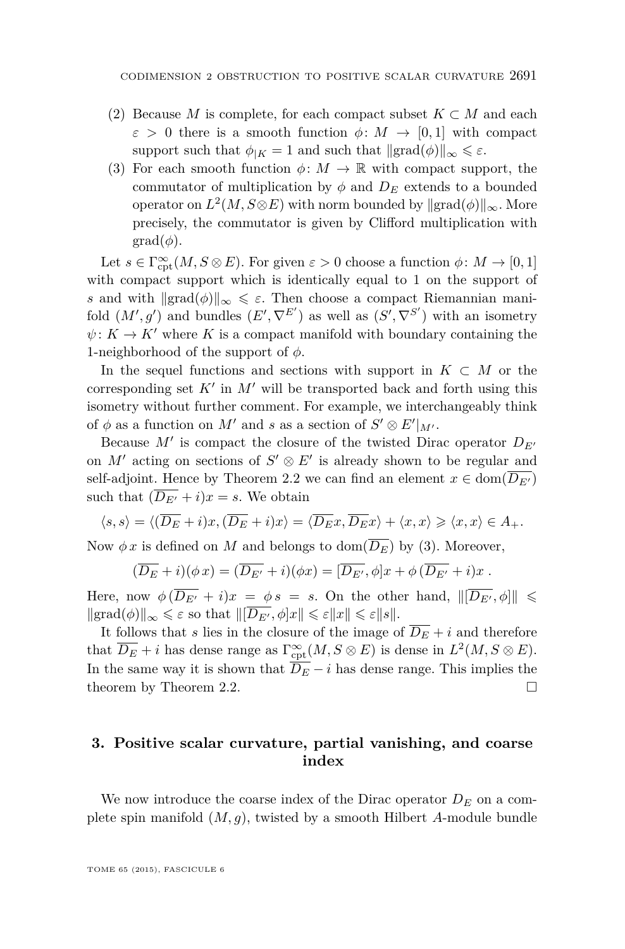- (2) Because *M* is complete, for each compact subset  $K \subset M$  and each  $\varepsilon > 0$  there is a smooth function  $\phi \colon M \to [0,1]$  with compact support such that  $\phi_{|K} = 1$  and such that  $\|\text{grad}(\phi)\|_{\infty} \leq \varepsilon$ .
- (3) For each smooth function  $\phi \colon M \to \mathbb{R}$  with compact support, the commutator of multiplication by  $\phi$  and  $D_E$  extends to a bounded operator on  $L^2(M, S \otimes E)$  with norm bounded by  $\Vert \text{grad}(\phi) \Vert_{\infty}$ . More precisely, the commutator is given by Clifford multiplication with  $grad(\phi)$ .

Let  $s \in \Gamma^\infty_{\mathrm{cpt}}(M, S \otimes E)$ . For given  $\varepsilon > 0$  choose a function  $\phi \colon M \to [0,1]$ with compact support which is identically equal to 1 on the support of *s* and with  $\| \text{grad}(\phi) \|_{\infty} \leq \varepsilon$ . Then choose a compact Riemannian manifold  $(M', g')$  and bundles  $(E', \nabla^{E'})$  as well as  $(S', \nabla^{S'})$  with an isometry  $\psi: K \to K'$  where *K* is a compact manifold with boundary containing the 1-neighborhood of the support of *φ*.

In the sequel functions and sections with support in  $K \subset M$  or the corresponding set  $K'$  in  $M'$  will be transported back and forth using this isometry without further comment. For example, we interchangeably think of  $\phi$  as a function on M' and *s* as a section of  $S' \otimes E'|_{M'}$ .

Because  $M'$  is compact the closure of the twisted Dirac operator  $D_{E'}$ on  $M'$  acting on sections of  $S' \otimes E'$  is already shown to be regular and self-adjoint. Hence by Theorem [2.2](#page-7-0) we can find an element  $x \in \text{dom}(\overline{D_{E'}})$ such that  $(\overline{D_{E'}} + i)x = s$ . We obtain

$$
\langle s, s \rangle = \langle (\overline{D_E} + i)x, (\overline{D_E} + i)x \rangle = \langle \overline{D_E}x, \overline{D_E}x \rangle + \langle x, x \rangle \geq \langle x, x \rangle \in A_+.
$$

Now  $\phi x$  is defined on *M* and belongs to dom( $\overline{D_E}$ ) by (3). Moreover,

$$
(\overline{D_E} + i)(\phi x) = (\overline{D_{E'}} + i)(\phi x) = [\overline{D_{E'}}, \phi]x + \phi(\overline{D_{E'}} + i)x.
$$

Here, now  $\phi(D_{E'}+i)x = \phi s = s$ . On the other hand,  $\|[D_{E'},\phi]\| \leq$  $\|\operatorname{grad}(\phi)\|_{\infty} \leq \varepsilon$  so that  $\|\overline{D_{E'}}, \phi\}x\| \leqslant \varepsilon \|x\| \leqslant \varepsilon \|s\|.$ 

It follows that *s* lies in the closure of the image of  $\overline{D_E} + i$  and therefore that  $\overline{D_E} + i$  has dense range as  $\Gamma_{\rm cpt}^{\infty}(M, S \otimes E)$  is dense in  $L^2(M, S \otimes E)$ . In the same way it is shown that  $\overline{D_E} - i$  has dense range. This implies the theorem by Theorem [2.2.](#page-7-0)

#### **3. Positive scalar curvature, partial vanishing, and coarse index**

We now introduce the coarse index of the Dirac operator  $D<sub>E</sub>$  on a complete spin manifold (*M, g*), twisted by a smooth Hilbert *A*-module bundle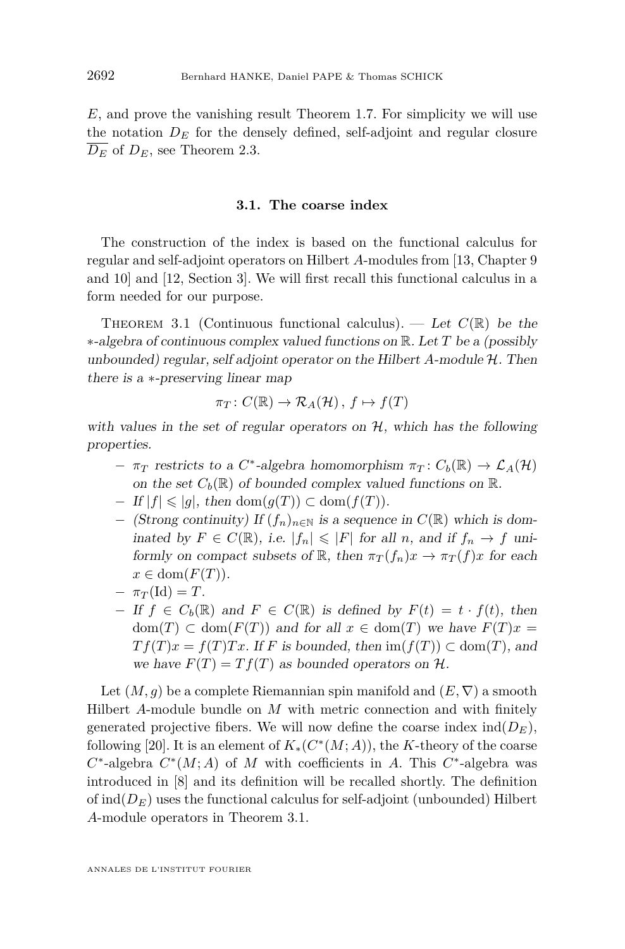<span id="page-12-0"></span>*E*, and prove the vanishing result Theorem [1.7.](#page-4-0) For simplicity we will use the notation  $D_E$  for the densely defined, self-adjoint and regular closure  $\overline{D_E}$  of  $D_E$ , see Theorem [2.3.](#page-8-0)

#### **3.1. The coarse index**

The construction of the index is based on the functional calculus for regular and self-adjoint operators on Hilbert *A*-modules from [\[13,](#page-28-0) Chapter 9 and 10] and [\[12,](#page-28-0) Section 3]. We will first recall this functional calculus in a form needed for our purpose.

THEOREM 3.1 (Continuous functional calculus). — Let  $C(\mathbb{R})$  be the ∗-algebra of continuous complex valued functions on R. Let *T* be a (possibly unbounded) regular, self adjoint operator on the Hilbert *A*-module H. Then there is a ∗-preserving linear map

$$
\pi_T\colon C(\mathbb{R})\to \mathcal{R}_A(\mathcal{H}),\ f\mapsto f(T)
$$

with values in the set of regular operators on  $H$ , which has the following properties.

- $\pi_T$  restricts to a *C*<sup>\*</sup>-algebra homomorphism  $\pi_T : C_b(\mathbb{R}) \to \mathcal{L}_A(\mathcal{H})$ on the set  $C_b(\mathbb{R})$  of bounded complex valued functions on  $\mathbb{R}$ .
- $-If |f| \leq |g|$ , then dom $(g(T)) \subset \text{dom}(f(T))$ .
- − (Strong continuity) If (*fn*)*n*∈<sup>N</sup> is a sequence in *C*(R) which is dominated by *F* ∈ *C*(ℝ), i.e.  $|f_n|$  ≤  $|F|$  for all *n*, and if  $f_n$  →  $f$  uniformly on compact subsets of  $\mathbb{R}$ , then  $\pi_T(f_n)x \to \pi_T(f)x$  for each  $x \in \text{dom}(F(T)).$
- $-\pi_T(\text{Id}) = T$ .
- $-I$  *f*  $f \in C_b(\mathbb{R})$  and  $F \in C(\mathbb{R})$  is defined by  $F(t) = t \cdot f(t)$ , then  $dom(T) \subset dom(F(T))$  and for all  $x \in dom(T)$  we have  $F(T)x =$  $Tf(T)x = f(T)Tx$ . If *F* is bounded, then  $\text{im}(f(T)) \subset \text{dom}(T)$ , and we have  $F(T) = Tf(T)$  as bounded operators on  $H$ .

Let  $(M, g)$  be a complete Riemannian spin manifold and  $(E, \nabla)$  a smooth Hilbert *A*-module bundle on *M* with metric connection and with finitely generated projective fibers. We will now define the coarse index  $ind(D_E)$ , following [\[20\]](#page-29-0). It is an element of  $K_*(C^*(M;A))$ , the *K*-theory of the coarse  $C^*$ -algebra  $C^*(M; A)$  of *M* with coefficients in *A*. This  $C^*$ -algebra was introduced in [\[8\]](#page-28-0) and its definition will be recalled shortly. The definition of  $\text{ind}(D_E)$  uses the functional calculus for self-adjoint (unbounded) Hilbert *A*-module operators in Theorem 3.1.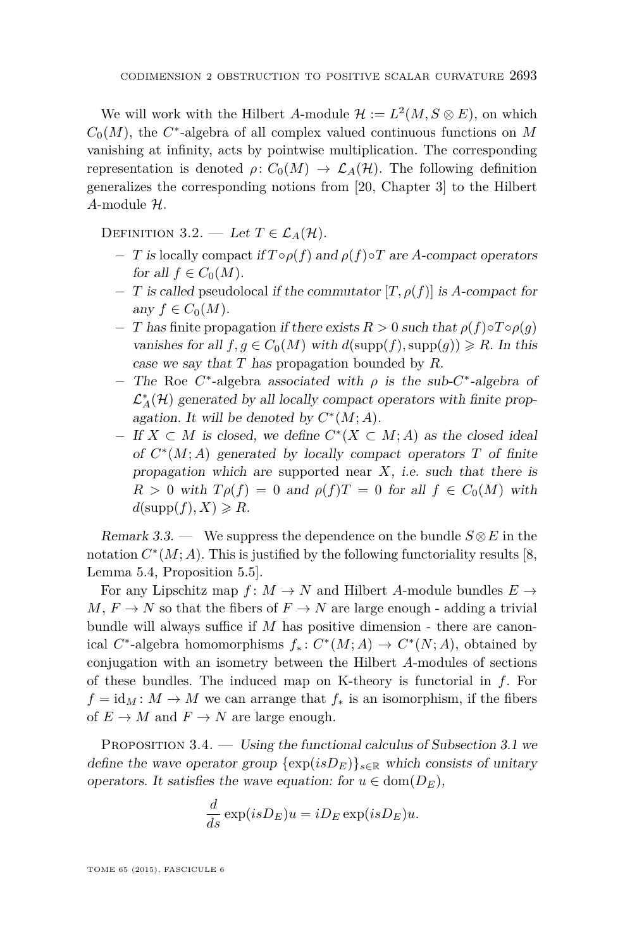<span id="page-13-0"></span>We will work with the Hilbert *A*-module  $\mathcal{H} := L^2(M, S \otimes E)$ , on which  $C_0(M)$ , the  $C^*$ -algebra of all complex valued continuous functions on  $M$ vanishing at infinity, acts by pointwise multiplication. The corresponding representation is denoted  $\rho: C_0(M) \to \mathcal{L}_A(H)$ . The following definition generalizes the corresponding notions from [\[20,](#page-29-0) Chapter 3] to the Hilbert *A*-module H.

DEFINITION 3.2. — Let  $T \in \mathcal{L}_A(\mathcal{H})$ .

- $-I$  is locally compact if  $T \circ \rho(f)$  and  $\rho(f) \circ T$  are *A*-compact operators for all  $f \in C_0(M)$ .
- − *T* is called pseudolocal if the commutator [*T, ρ*(*f*)] is *A*-compact for any  $f \in C_0(M)$ .
- $-T$  has finite propagation if there exists  $R > 0$  such that  $\rho(f) \circ T \circ \rho(g)$ vanishes for all  $f, g \in C_0(M)$  with  $d(\text{supp}(f), \text{supp}(g)) \ge R$ . In this case we say that *T* has propagation bounded by *R*.
- The Roe C<sup>\*</sup>-algebra associated with *ρ* is the sub-C<sup>\*</sup>-algebra of  $\mathcal{L}_A^*(\mathcal{H})$  generated by all locally compact operators with finite propagation. It will be denoted by  $C^*(M;A)$ .
- $−$  If *X*  $\subset$  *M* is closed, we define  $C^*(X \subset M; A)$  as the closed ideal of  $C^*(M;A)$  generated by locally compact operators  $T$  of finite propagation which are supported near *X*, i.e. such that there is  $R > 0$  with  $T \rho(f) = 0$  and  $\rho(f)T = 0$  for all  $f \in C_0(M)$  with  $d(\text{supp}(f), X) \ge R$ .

Remark 3.3. — We suppress the dependence on the bundle  $S \otimes E$  in the notation  $C^*(M; A)$ . This is justified by the following functoriality results [\[8,](#page-28-0) Lemma 5.4, Proposition 5.5].

For any Lipschitz map  $f: M \to N$  and Hilbert *A*-module bundles  $E \to$  $M, F \to N$  so that the fibers of  $F \to N$  are large enough - adding a trivial bundle will always suffice if *M* has positive dimension - there are canonical  $C^*$ -algebra homomorphisms  $f_*: C^*(M; A) \to C^*(N; A)$ , obtained by conjugation with an isometry between the Hilbert *A*-modules of sections of these bundles. The induced map on K-theory is functorial in *f*. For  $f = id_M : M \to M$  we can arrange that  $f_*$  is an isomorphism, if the fibers of  $E \to M$  and  $F \to N$  are large enough.

PROPOSITION  $3.4.$  — Using the functional calculus of Subsection [3.1](#page-12-0) we define the wave operator group  $\{\exp(isD_E)\}_{s\in\mathbb{R}}$  which consists of unitary operators. It satisfies the wave equation: for  $u \in \text{dom}(D_E)$ ,

$$
\frac{d}{ds}\exp(isD_E)u=iD_E\exp(isD_E)u.
$$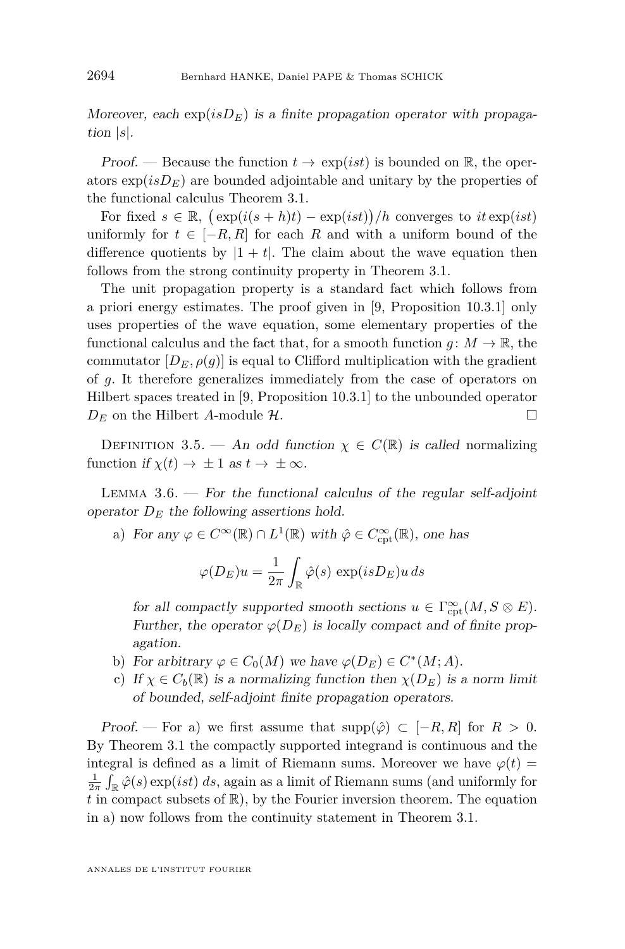<span id="page-14-0"></span>Moreover, each  $\exp(isD_E)$  is a finite propagation operator with propagation |*s*|.

Proof. — Because the function  $t \to \exp(ist)$  is bounded on R, the operators  $\exp(isD_E)$  are bounded adjointable and unitary by the properties of the functional calculus Theorem [3.1.](#page-12-0)

For fixed  $s \in \mathbb{R}$ ,  $(\exp(i(s+h)t) - \exp(ist))/h$  converges to  $it \exp(ist)$ uniformly for  $t \in [-R, R]$  for each R and with a uniform bound of the difference quotients by  $|1 + t|$ . The claim about the wave equation then follows from the strong continuity property in Theorem [3.1.](#page-12-0)

The unit propagation property is a standard fact which follows from a priori energy estimates. The proof given in [\[9,](#page-28-0) Proposition 10.3.1] only uses properties of the wave equation, some elementary properties of the functional calculus and the fact that, for a smooth function  $q: M \to \mathbb{R}$ , the commutator  $[D_E, \rho(q)]$  is equal to Clifford multiplication with the gradient of *g*. It therefore generalizes immediately from the case of operators on Hilbert spaces treated in [\[9,](#page-28-0) Proposition 10.3.1] to the unbounded operator  $D_E$  on the Hilbert *A*-module  $H$ .

DEFINITION 3.5. — An odd function  $\chi \in C(\mathbb{R})$  is called normalizing function if  $\chi(t) \to \pm 1$  as  $t \to \pm \infty$ .

LEMMA  $3.6.$  – For the functional calculus of the regular self-adjoint operator  $D<sub>E</sub>$  the following assertions hold.

a) For any  $\varphi \in C^{\infty}(\mathbb{R}) \cap L^{1}(\mathbb{R})$  with  $\hat{\varphi} \in C^{\infty}_{\mathrm{cpt}}(\mathbb{R})$ , one has

$$
\varphi(D_E)u = \frac{1}{2\pi} \int_{\mathbb{R}} \hat{\varphi}(s) \, \exp(isD_E)u \, ds
$$

for all compactly supported smooth sections  $u \in \Gamma_{\mathrm{cpt}}^{\infty}(M, S \otimes E)$ . Further, the operator  $\varphi(D_E)$  is locally compact and of finite propagation.

- b) For arbitrary  $\varphi \in C_0(M)$  we have  $\varphi(D_E) \in C^*(M; A)$ .
- c) If  $\chi \in C_b(\mathbb{R})$  is a normalizing function then  $\chi(D_F)$  is a norm limit of bounded, self-adjoint finite propagation operators.

Proof. — For a) we first assume that  $\text{supp}(\hat{\varphi}) \subset [-R, R]$  for  $R > 0$ . By Theorem [3.1](#page-12-0) the compactly supported integrand is continuous and the integral is defined as a limit of Riemann sums. Moreover we have  $\varphi(t)$  =  $\frac{1}{2\pi} \int_{\mathbb{R}} \hat{\varphi}(s) \exp(ist) \, ds$ , again as a limit of Riemann sums (and uniformly for  $t$  in compact subsets of  $\mathbb{R}$ ), by the Fourier inversion theorem. The equation in a) now follows from the continuity statement in Theorem [3.1.](#page-12-0)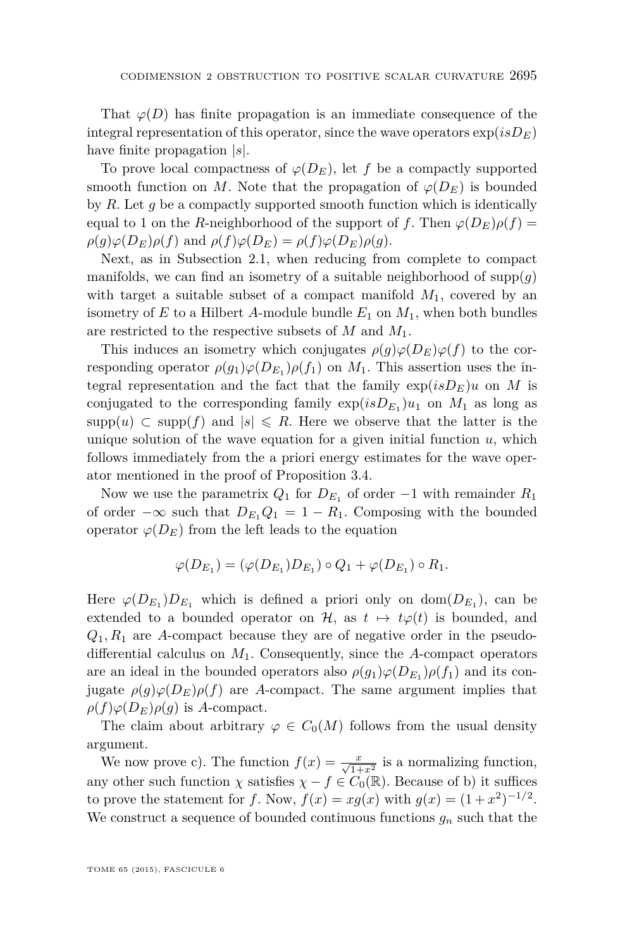That  $\varphi(D)$  has finite propagation is an immediate consequence of the integral representation of this operator, since the wave operators  $\exp(isD_E))$ have finite propagation |*s*|.

To prove local compactness of  $\varphi(D_E)$ , let *f* be a compactly supported smooth function on *M*. Note that the propagation of  $\varphi(D_E)$  is bounded by *R*. Let *g* be a compactly supported smooth function which is identically equal to 1 on the *R*-neighborhood of the support of *f*. Then  $\varphi(D_F)\rho(f)$  =  $\rho(g)\varphi(D_E)\rho(f)$  and  $\rho(f)\varphi(D_E) = \rho(f)\varphi(D_E)\rho(g)$ .

Next, as in Subsection [2.1,](#page-7-0) when reducing from complete to compact manifolds, we can find an isometry of a suitable neighborhood of  $\text{supp}(q)$ with target a suitable subset of a compact manifold  $M_1$ , covered by an isometry of  $E$  to a Hilbert  $A$ -module bundle  $E_1$  on  $M_1$ , when both bundles are restricted to the respective subsets of *M* and *M*1.

This induces an isometry which conjugates  $\rho(q)\varphi(D_E)\varphi(f)$  to the corresponding operator  $\rho(g_1)\varphi(D_{E_1})\rho(f_1)$  on  $M_1$ . This assertion uses the integral representation and the fact that the family  $\exp(isD_E)u$  on M is conjugated to the corresponding family  $\exp(isD_{E_1})u_1$  on  $M_1$  as long as supp $(u) \subset \text{supp}(f)$  and  $|s| \le R$ . Here we observe that the latter is the unique solution of the wave equation for a given initial function  $u$ , which follows immediately from the a priori energy estimates for the wave operator mentioned in the proof of Proposition [3.4.](#page-13-0)

Now we use the parametrix  $Q_1$  for  $D_{E_1}$  of order  $-1$  with remainder  $R_1$ of order  $-\infty$  such that  $D_{E_1}Q_1 = 1 - R_1$ . Composing with the bounded operator  $\varphi(D_E)$  from the left leads to the equation

$$
\varphi(D_{E_1}) = (\varphi(D_{E_1})D_{E_1}) \circ Q_1 + \varphi(D_{E_1}) \circ R_1.
$$

Here  $\varphi(D_{E_1})D_{E_1}$  which is defined a priori only on  $dom(D_{E_1})$ , can be extended to a bounded operator on  $\mathcal{H}$ , as  $t \mapsto t\varphi(t)$  is bounded, and  $Q_1, R_1$  are *A*-compact because they are of negative order in the pseudodifferential calculus on *M*1. Consequently, since the *A*-compact operators are an ideal in the bounded operators also  $\rho(g_1)\varphi(D_{E_1})\rho(f_1)$  and its conjugate  $\rho(g)\varphi(D_E)\rho(f)$  are *A*-compact. The same argument implies that  $\rho(f)\varphi(D_E)\rho(g)$  is *A*-compact.

The claim about arbitrary  $\varphi \in C_0(M)$  follows from the usual density argument.

We now prove c). The function  $f(x) = \frac{x}{\sqrt{1+x^2}}$  is a normalizing function, any other such function  $\chi$  satisfies  $\chi - f \in C_0(\mathbb{R})$ . Because of b) it suffices to prove the statement for *f*. Now,  $f(x) = xg(x)$  with  $g(x) = (1 + x^2)^{-1/2}$ . We construct a sequence of bounded continuous functions  $g_n$  such that the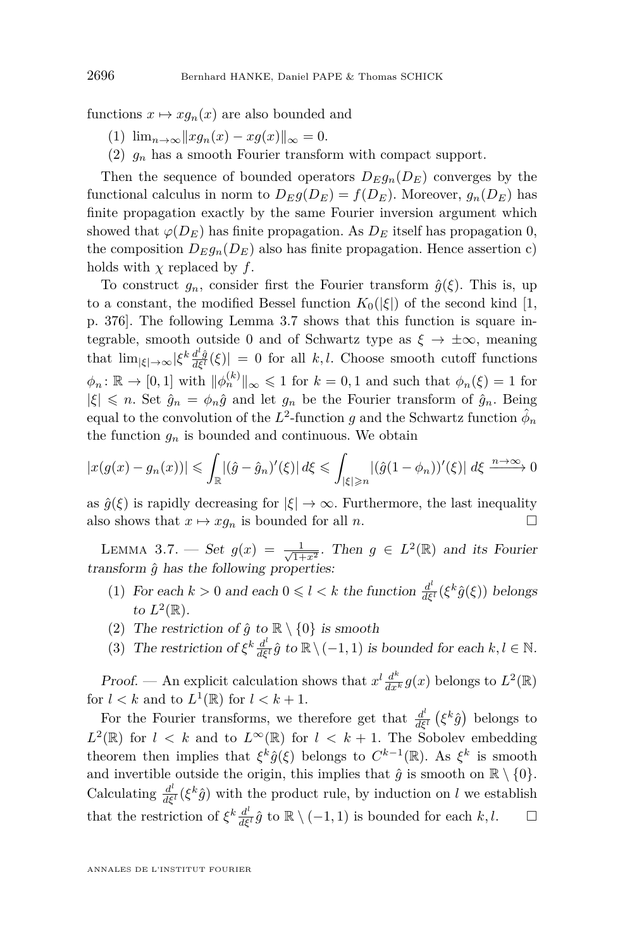functions  $x \mapsto xg_n(x)$  are also bounded and

- (1)  $\lim_{n\to\infty}||xg_n(x) xg(x)||_{\infty} = 0.$
- (2)  $g_n$  has a smooth Fourier transform with compact support.

Then the sequence of bounded operators  $D_E g_n(D_E)$  converges by the functional calculus in norm to  $D_{E}g(D_{E}) = f(D_{E})$ . Moreover,  $g_{n}(D_{E})$  has finite propagation exactly by the same Fourier inversion argument which showed that  $\varphi(D_E)$  has finite propagation. As  $D_E$  itself has propagation 0, the composition  $D_E g_n(D_E)$  also has finite propagation. Hence assertion c) holds with *χ* replaced by *f*.

To construct  $g_n$ , consider first the Fourier transform  $\hat{g}(\xi)$ . This is, up to a constant, the modified Bessel function  $K_0(|\xi|)$  of the second kind [\[1,](#page-28-0) p. 376]. The following Lemma 3.7 shows that this function is square integrable, smooth outside 0 and of Schwartz type as  $\xi \to \pm \infty$ , meaning that  $\lim_{|\xi| \to \infty} |\xi^k \frac{d^l \hat{g}}{d\xi^l}(\xi)| = 0$  for all *k, l.* Choose smooth cutoff functions  $\phi_n \colon \mathbb{R} \to [0,1]$  with  $\|\phi_n^{(k)}\|_{\infty} \leq 1$  for  $k = 0,1$  and such that  $\phi_n(\xi) = 1$  for  $|\xi| \leq n$ . Set  $\hat{q}_n = \phi_n \hat{q}$  and let  $q_n$  be the Fourier transform of  $\hat{q}_n$ . Being equal to the convolution of the  $L^2$ -function  $g$  and the Schwartz function  $\hat{\phi}_n$ the function  $g_n$  is bounded and continuous. We obtain

$$
|x(g(x) - g_n(x))| \leq \int_{\mathbb{R}} |(\hat{g} - \hat{g}_n)'(\xi)| d\xi \leq \int_{|\xi| \geq n} |(\hat{g}(1 - \phi_n))'(\xi)| d\xi \xrightarrow{n \to \infty} 0
$$

as  $\hat{g}(\xi)$  is rapidly decreasing for  $|\xi| \to \infty$ . Furthermore, the last inequality also shows that  $x \mapsto xg_n$  is bounded for all *n*.

LEMMA 3.7. — Set  $g(x) = \frac{1}{\sqrt{1+x^2}}$ . Then  $g \in L^2(\mathbb{R})$  and its Fourier transform  $\hat{g}$  has the following properties:

- (1) For each  $k > 0$  and each  $0 \leq l < k$  the function  $\frac{d^l}{d\xi^l}(\xi^k \hat{g}(\xi))$  belongs to  $L^2(\mathbb{R})$ .
- (2) The restriction of  $\hat{g}$  to  $\mathbb{R} \setminus \{0\}$  is smooth
- (3) The restriction of  $\xi^k \frac{d^l}{d\xi^l} \hat{g}$  to  $\mathbb{R} \setminus (-1,1)$  is bounded for each  $k, l \in \mathbb{N}$ .

Proof. — An explicit calculation shows that  $x^l \frac{d^k}{dx^k} g(x)$  belongs to  $L^2(\mathbb{R})$ for  $l < k$  and to  $L^1(\mathbb{R})$  for  $l < k+1$ .

For the Fourier transforms, we therefore get that  $\frac{d^l}{d\epsilon}$  $\frac{d^{\iota}}{d\xi^{\iota}}\left(\xi^k\hat{g}\right)$  belongs to  $L^2(\mathbb{R})$  for  $l \leq k$  and to  $L^{\infty}(\mathbb{R})$  for  $l \leq k+1$ . The Sobolev embedding theorem then implies that  $\xi^k \hat{g}(\xi)$  belongs to  $C^{k-1}(\mathbb{R})$ . As  $\xi^k$  is smooth and invertible outside the origin, this implies that  $\hat{g}$  is smooth on  $\mathbb{R} \setminus \{0\}$ . Calculating  $\frac{d^l}{d\xi^l}(\xi^k \hat{g})$  with the product rule, by induction on *l* we establish that the restriction of  $\xi^k \frac{d^l}{d\xi^l} \hat{g}$  to  $\mathbb{R} \setminus (-1,1)$  is bounded for each  $k, l$ .  $\Box$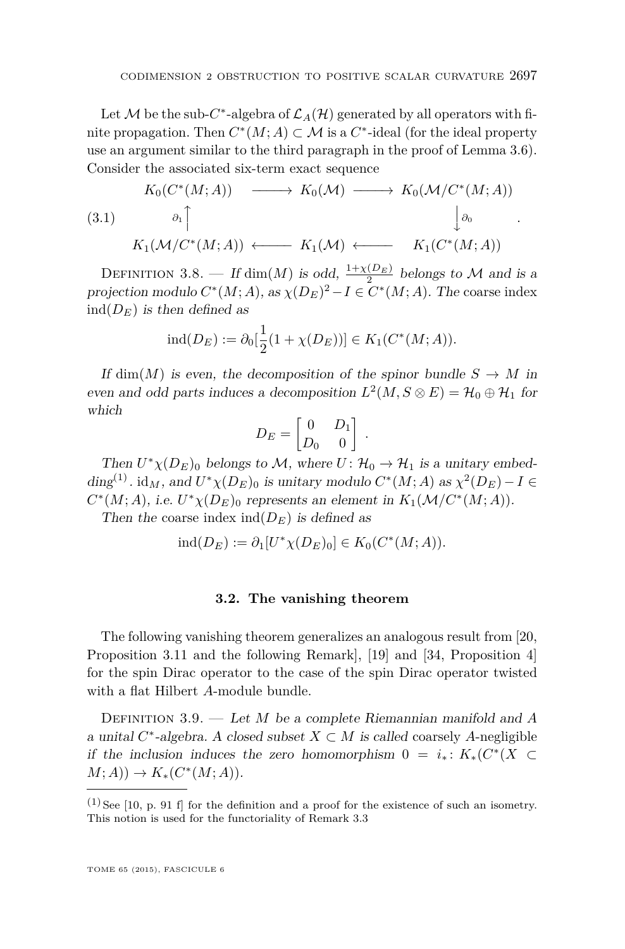*.*

<span id="page-17-0"></span>Let  $\mathcal M$  be the sub- $C^*$ -algebra of  $\mathcal L_A(\mathcal H)$  generated by all operators with finite propagation. Then  $C^*(M; A) \subset \mathcal{M}$  is a  $C^*$ -ideal (for the ideal property use an argument similar to the third paragraph in the proof of Lemma [3.6\)](#page-14-0). Consider the associated six-term exact sequence

$$
(3.1) \quad\n\begin{array}{ccc}\nK_0(C^*(M;A)) & \xrightarrow{\qquad} & K_0(\mathcal{M}) \xrightarrow{\qquad} & K_0(\mathcal{M}/C^*(M;A)) \\
\downarrow^{a_1} & & \downarrow^{b_0} \\
K_1(\mathcal{M}/C^*(M;A)) & \xleftarrow{\qquad} & K_1(C^*(M;A))\n\end{array}
$$

DEFINITION 3.8. — If  $\dim(M)$  is odd,  $\frac{1+\chi(D_E)}{2}$  belongs to M and is a projection modulo  $C^*(M; A)$ , as  $\chi(D_E)^2 - I \in C^*(M; A)$ . The coarse index  $ind(D<sub>E</sub>)$  is then defined as

$$
ind(D_E) := \partial_0[\frac{1}{2}(1 + \chi(D_E))] \in K_1(C^*(M; A)).
$$

If dim(*M*) is even, the decomposition of the spinor bundle  $S \to M$  in even and odd parts induces a decomposition  $L^2(M, S \otimes E) = \mathcal{H}_0 \oplus \mathcal{H}_1$  for which

$$
D_E = \begin{bmatrix} 0 & D_1 \\ D_0 & 0 \end{bmatrix}.
$$

Then  $U^*\chi(D_E)$ <sup>0</sup> belongs to M, where  $U: \mathcal{H}_0 \to \mathcal{H}_1$  is a unitary embed- $\dim S^{(1)}$ .  $\mathrm{id}_M$ , and  $U^*\chi(D_E)$  is unitary modulo  $C^*(M;A)$  as  $\chi^2(D_E) - I \in$  $C^*(M; A)$ , i.e.  $U^*\chi(D_E)$ <sup>0</sup> represents an element in  $K_1(\mathcal{M}/C^*(M; A))$ .

Then the coarse index  $ind(D_E)$  is defined as

$$
ind(D_E) := \partial_1[U^*\chi(D_E)_0] \in K_0(C^*(M; A)).
$$

#### **3.2. The vanishing theorem**

The following vanishing theorem generalizes an analogous result from [\[20,](#page-29-0) Proposition 3.11 and the following Remark], [\[19\]](#page-29-0) and [\[34,](#page-29-0) Proposition 4] for the spin Dirac operator to the case of the spin Dirac operator twisted with a flat Hilbert *A*-module bundle.

Definition 3.9. — Let *M* be a complete Riemannian manifold and *A* a unital  $C^*$ -algebra. A closed subset  $X \subset M$  is called coarsely A-negligible if the inclusion induces the zero homomorphism  $0 = i_* : K_*(C^*(X \subset$  $M$ ; *A*))  $\to K_*(C^*(M; A)).$ 

 $(1)$  See [\[10,](#page-28-0) p. 91 f] for the definition and a proof for the existence of such an isometry. This notion is used for the functoriality of Remark [3.3](#page-13-0)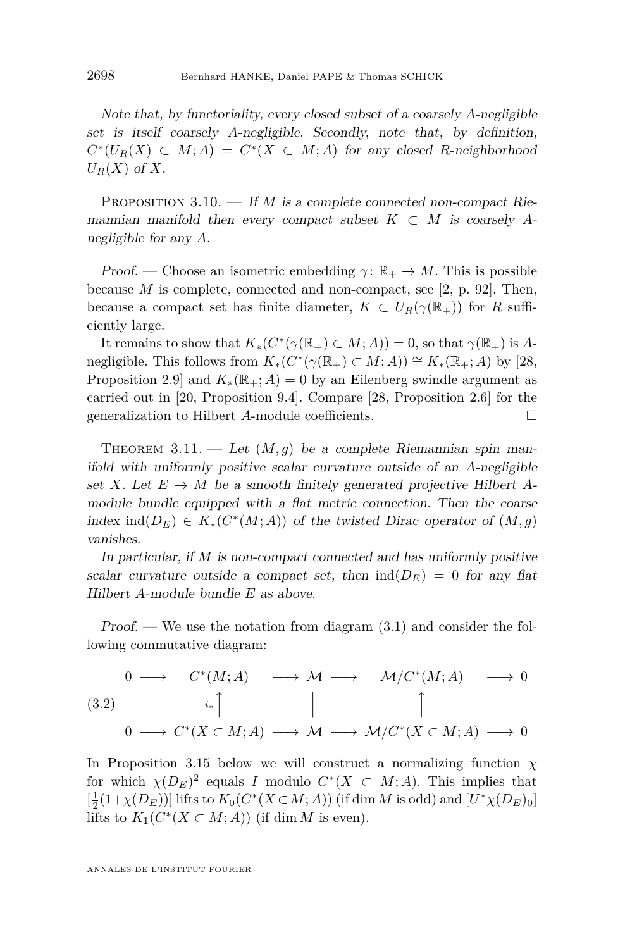<span id="page-18-0"></span>Note that, by functoriality, every closed subset of a coarsely *A*-negligible set is itself coarsely *A*-negligible. Secondly, note that, by definition,  $C^*(U_R(X) \subset M; A) = C^*(X \subset M; A)$  for any closed *R*-neighborhood  $U_R(X)$  of  $X$ .

PROPOSITION 3.10. — If *M* is a complete connected non-compact Riemannian manifold then every compact subset  $K \subset M$  is coarsely Anegligible for any *A*.

Proof. — Choose an isometric embedding  $\gamma: \mathbb{R}_+ \to M$ . This is possible because *M* is complete, connected and non-compact, see [\[2,](#page-28-0) p. 92]. Then, because a compact set has finite diameter,  $K \subset U_R(\gamma(\mathbb{R}_+))$  for R sufficiently large.

It remains to show that  $K_*(C^*(\gamma(\mathbb{R}_+) \subset M; A)) = 0$ , so that  $\gamma(\mathbb{R}_+)$  is *A*negligible. This follows from  $K_*(C^*(\gamma(\mathbb{R}_+) \subset M; A)) \cong K_*(\mathbb{R}_+; A)$  by [\[28,](#page-29-0) Proposition 2.9] and  $K_*(\mathbb{R}_+; A) = 0$  by an Eilenberg swindle argument as carried out in [\[20,](#page-29-0) Proposition 9.4]. Compare [\[28,](#page-29-0) Proposition 2.6] for the generalization to Hilbert *A*-module coefficients.

THEOREM  $3.11.$  — Let  $(M, g)$  be a complete Riemannian spin manifold with uniformly positive scalar curvature outside of an *A*-negligible set *X*. Let  $E \to M$  be a smooth finitely generated projective Hilbert *A*module bundle equipped with a flat metric connection. Then the coarse index ind( $D_E$ )  $\in K_*(C^*(M; A))$  of the twisted Dirac operator of  $(M, g)$ vanishes.

In particular, if *M* is non-compact connected and has uniformly positive scalar curvature outside a compact set, then  $ind(D_E) = 0$  for any flat Hilbert *A*-module bundle *E* as above.

 $Proof.$  — We use the notation from diagram  $(3.1)$  and consider the following commutative diagram:

$$
\begin{array}{ccccccc}\n0 & \longrightarrow & C^*(M; A) & \longrightarrow & \mathcal{M} & \longrightarrow & \mathcal{M}/C^*(M; A) & \longrightarrow & 0 \\
(3.2) & & & & & & & \\
0 & \longrightarrow & C^*(X \subset M; A) & \longrightarrow & \mathcal{M} & \longrightarrow & \mathcal{M}/C^*(X \subset M; A) & \longrightarrow & 0\n\end{array}
$$

In Proposition [3.15](#page-20-0) below we will construct a normalizing function  $\chi$ for which  $\chi(D_E)^2$  equals *I* modulo  $C^*(X \subset M; A)$ . This implies that  $[\frac{1}{2}(1+\chi(D_E))]$  lifts to  $K_0(C^*(X\subset M;A))$  (if  $\dim M$  is odd) and  $[U^*\chi(D_E)_0]$ lifts to  $K_1(C^*(X \subset M; A))$  (if dim *M* is even).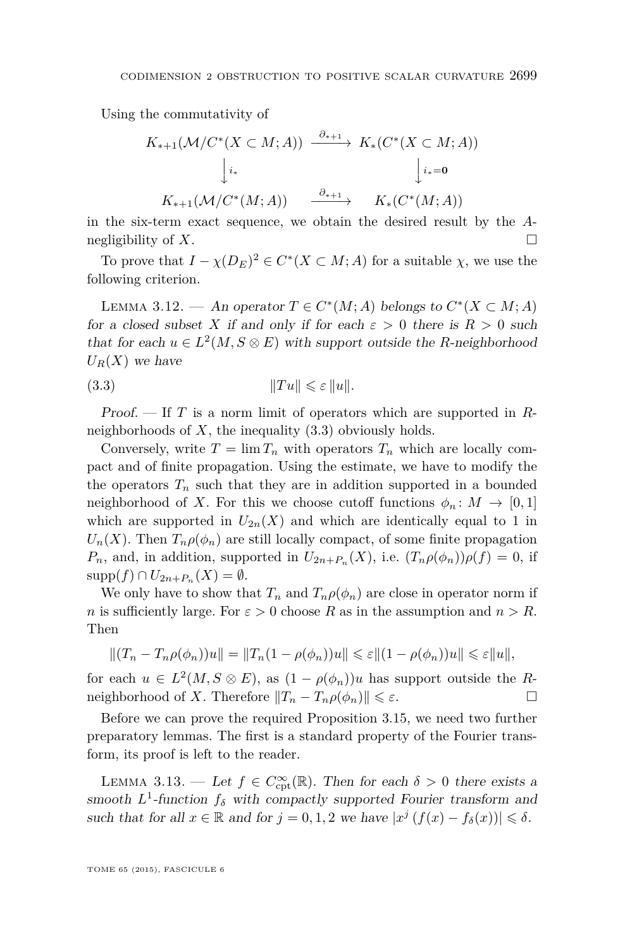<span id="page-19-0"></span>Using the commutativity of

$$
K_{*+1}(\mathcal{M}/C^*(X \subset M; A)) \xrightarrow{\partial_{*+1}} K_*(C^*(X \subset M; A))
$$
  

$$
\downarrow i_* \qquad \qquad \downarrow i_*=0
$$
  

$$
K_{*+1}(\mathcal{M}/C^*(M; A)) \xrightarrow{\partial_{*+1}} K_*(C^*(M; A))
$$

in the six-term exact sequence, we obtain the desired result by the *A*negligibility of *X*.

To prove that  $I - \chi(D_E)^2 \in C^*(X \subset M; A)$  for a suitable  $\chi$ , we use the following criterion.

LEMMA 3.12. — An operator  $T \in C^*(M; A)$  belongs to  $C^*(X \subset M; A)$ for a closed subset *X* if and only if for each  $\varepsilon > 0$  there is  $R > 0$  such that for each  $u \in L^2(M, S \otimes E)$  with support outside the *R*-neighborhood  $U_R(X)$  we have

(3.3) k*T u*k 6 *ε* k*u*k*.*

Proof. — If *T* is a norm limit of operators which are supported in *R*neighborhoods of *X*, the inequality (3.3) obviously holds.

Conversely, write  $T = \lim T_n$  with operators  $T_n$  which are locally compact and of finite propagation. Using the estimate, we have to modify the the operators  $T_n$  such that they are in addition supported in a bounded neighborhood of *X*. For this we choose cutoff functions  $\phi_n: M \to [0,1]$ which are supported in  $U_{2n}(X)$  and which are identically equal to 1 in  $U_n(X)$ . Then  $T_n \rho(\phi_n)$  are still locally compact, of some finite propagation *P<sub>n</sub>*, and, in addition, supported in  $U_{2n+P_n}(X)$ , i.e.  $(T_n \rho(\phi_n))\rho(f) = 0$ , if  $supp(f) \cap U_{2n+P_n}(X) = \emptyset.$ 

We only have to show that  $T_n$  and  $T_n \rho(\phi_n)$  are close in operator norm if *n* is sufficiently large. For  $\varepsilon > 0$  choose *R* as in the assumption and  $n > R$ . Then

$$
\|(T_n-T_n\rho(\phi_n))u\|=\|T_n(1-\rho(\phi_n))u\|\leqslant \varepsilon \|(1-\rho(\phi_n))u\|\leqslant \varepsilon \|u\|,
$$

for each  $u \in L^2(M, S \otimes E)$ , as  $(1 - \rho(\phi_n))u$  has support outside the *R*neighborhood of *X*. Therefore  $||T_n - T_n \rho(\phi_n)|| \leq \varepsilon$ .

Before we can prove the required Proposition [3.15,](#page-20-0) we need two further preparatory lemmas. The first is a standard property of the Fourier transform, its proof is left to the reader.

LEMMA 3.13. — Let  $f \in C_{\text{cpt}}^{\infty}(\mathbb{R})$ . Then for each  $\delta > 0$  there exists a smooth  $L^1$ -function  $f_\delta$  with compactly supported Fourier transform and such that for all  $x \in \mathbb{R}$  and for  $j = 0, 1, 2$  we have  $|x^{j}(f(x) - f_{\delta}(x))| \leq \delta$ .

TOME 65 (2015), FASCICULE 6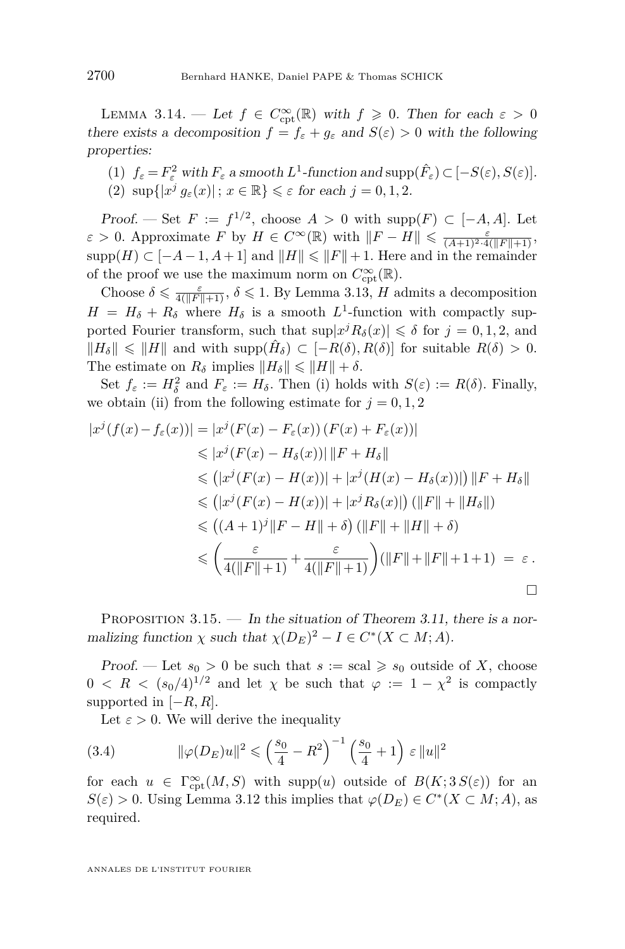<span id="page-20-0"></span>LEMMA 3.14. — Let  $f \in C_{\text{cpt}}^{\infty}(\mathbb{R})$  with  $f \geq 0$ . Then for each  $\varepsilon > 0$ there exists a decomposition  $f = f_{\varepsilon} + g_{\varepsilon}$  and  $S(\varepsilon) > 0$  with the following properties:

(1)  $f_{\varepsilon} = F_{\varepsilon}^2$  with  $F_{\varepsilon}$  a smooth  $L^1$ -function and  $\text{supp}(\hat{F}_{\varepsilon}) \subset [-S(\varepsilon), S(\varepsilon)].$ (2)  $\sup\{|x^j g_\varepsilon(x)|; x \in \mathbb{R}\} \leq \varepsilon$  for each  $j = 0, 1, 2$ .

Proof. — Set  $F := f^{1/2}$ , choose  $A > 0$  with supp $(F) \subset [-A, A]$ . Let  $\varepsilon > 0$ . Approximate *F* by  $H \in C^{\infty}(\mathbb{R})$  with  $||F - H|| \leq \frac{\varepsilon}{(A+1)^2 \cdot 4(||F||+1)}$ , supp $(H) \subset [-A-1, A+1]$  and  $||H|| \le ||F|| + 1$ . Here and in the remainder of the proof we use the maximum norm on  $C_{\text{cpt}}^{\infty}(\mathbb{R})$ .

Choose  $\delta \leq \frac{\varepsilon}{4(|F||+1)}, \delta \leq 1$ . By Lemma [3.13,](#page-19-0) *H* admits a decomposition  $H = H_{\delta} + R_{\delta}$  where  $H_{\delta}$  is a smooth  $L^{1}$ -function with compactly supported Fourier transform, such that  $\sup|x^j R_\delta(x)| \leq \delta$  for  $j = 0, 1, 2$ , and  $||H_{\delta}|| \le ||H||$  and with supp $(\hat{H}_{\delta}) \subset [-R(\delta), R(\delta)]$  for suitable  $R(\delta) > 0$ . The estimate on  $R_\delta$  implies  $||H_\delta|| \le ||H|| + \delta$ .

Set  $f_{\varepsilon} := H_{\delta}^2$  and  $F_{\varepsilon} := H_{\delta}$ . Then (i) holds with  $S(\varepsilon) := R(\delta)$ . Finally, we obtain (ii) from the following estimate for  $j = 0, 1, 2$ 

$$
|x^{j}(f(x) - f_{\varepsilon}(x))| = |x^{j}(F(x) - F_{\varepsilon}(x)) (F(x) + F_{\varepsilon}(x))|
$$
  
\n
$$
\leq |x^{j}(F(x) - H_{\delta}(x))| ||F + H_{\delta}||
$$
  
\n
$$
\leq (|x^{j}(F(x) - H(x))| + |x^{j}(H(x) - H_{\delta}(x))|) ||F + H_{\delta}||
$$
  
\n
$$
\leq (|x^{j}(F(x) - H(x))| + |x^{j}R_{\delta}(x)|) (||F|| + ||H_{\delta}||)
$$
  
\n
$$
\leq ((A+1)^{j} ||F - H|| + \delta) (||F|| + ||H|| + \delta)
$$
  
\n
$$
\leq (\frac{\varepsilon}{4(||F|| + 1)} + \frac{\varepsilon}{4(||F|| + 1)}) (||F|| + ||F|| + 1 + 1) = \varepsilon.
$$

PROPOSITION 3.15. — In the situation of Theorem [3.11,](#page-18-0) there is a normalizing function  $\chi$  such that  $\chi(D_E)^2 - I \in C^*(X \subset M; A)$ .

Proof. — Let  $s_0 > 0$  be such that  $s := \text{scal} \geqslant s_0$  outside of X, choose  $0 \leq R \leq (s_0/4)^{1/2}$  and let  $\chi$  be such that  $\varphi := 1 - \chi^2$  is compactly supported in [−*R, R*].

Let  $\varepsilon > 0$ . We will derive the inequality

(3.4) 
$$
\|\varphi(D_E)u\|^2 \leq \left(\frac{s_0}{4} - R^2\right)^{-1} \left(\frac{s_0}{4} + 1\right) \varepsilon \|u\|^2
$$

for each  $u \in \Gamma^\infty_{\text{cpt}}(M, S)$  with supp $(u)$  outside of  $B(K; 3 S(\varepsilon))$  for an  $S(\varepsilon) > 0$ . Using Lemma [3.12](#page-19-0) this implies that  $\varphi(D_E) \in C^*(X \subset M; A)$ , as required.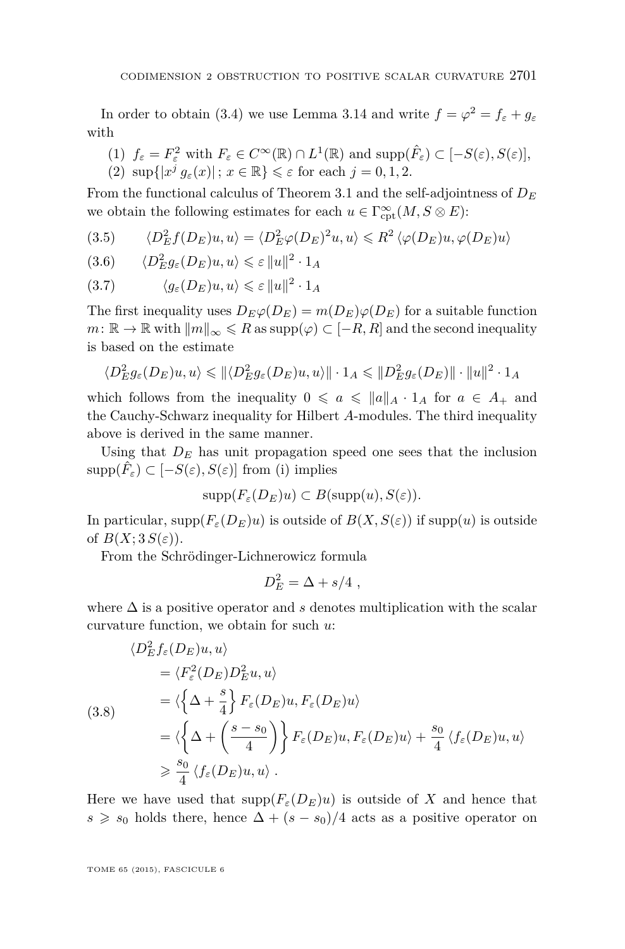<span id="page-21-0"></span>In order to obtain [\(3.4\)](#page-20-0) we use Lemma [3.14](#page-20-0) and write  $f = \varphi^2 = f_{\varepsilon} + g_{\varepsilon}$ with

(1)  $f_{\varepsilon} = F_{\varepsilon}^2$  with  $F_{\varepsilon} \in C^{\infty}(\mathbb{R}) \cap L^1(\mathbb{R})$  and  $\text{supp}(\hat{F}_{\varepsilon}) \subset [-S(\varepsilon), S(\varepsilon)],$ (2)  $\sup\{|x^j g_\varepsilon(x)|; x \in \mathbb{R}\} \leq \varepsilon$  for each  $j = 0, 1, 2$ .

From the functional calculus of Theorem [3.1](#page-12-0) and the self-adjointness of  $D_E$ we obtain the following estimates for each  $u \in \Gamma^\infty_{\mathrm{cpt}}(M, S \otimes E)$ :

(3.5) 
$$
\langle D_E^2 f(D_E)u, u \rangle = \langle D_E^2 \varphi(D_E)^2 u, u \rangle \le R^2 \langle \varphi(D_E)u, \varphi(D_E)u \rangle
$$

$$
(3.6) \qquad \langle D_E^2 g_{\varepsilon}(D_E)u, u \rangle \leqslant \varepsilon \|u\|^2 \cdot 1_A
$$

$$
(3.7) \qquad \langle g_{\varepsilon}(D_E)u, u \rangle \leqslant \varepsilon \|u\|^2 \cdot 1_A
$$

The first inequality uses  $D_E \varphi(D_E) = m(D_E) \varphi(D_E)$  for a suitable function  $m: \mathbb{R} \to \mathbb{R}$  with  $\|m\|_{\infty} \leq R$  as  $\text{supp}(\varphi) \subset [-R, R]$  and the second inequality is based on the estimate

$$
\langle D_E^2 g_{\varepsilon}(D_E)u, u \rangle \leq \|\langle D_E^2 g_{\varepsilon}(D_E)u, u \rangle\| \cdot 1_A \leq \|D_E^2 g_{\varepsilon}(D_E)\| \cdot \|u\|^2 \cdot 1_A
$$

which follows from the inequality  $0 \le a \le ||a||_A \cdot 1_A$  for  $a \in A_+$  and the Cauchy-Schwarz inequality for Hilbert *A*-modules. The third inequality above is derived in the same manner.

Using that  $D_E$  has unit propagation speed one sees that the inclusion  $\text{supp}(\hat{F}_{\varepsilon}) \subset [-S(\varepsilon), S(\varepsilon)]$  from (i) implies

$$
supp(F_{\varepsilon}(D_E)u) \subset B(supp(u),S(\varepsilon)).
$$

In particular,  $\text{supp}(F_{\varepsilon}(D_E)u)$  is outside of  $B(X, S(\varepsilon))$  if  $\text{supp}(u)$  is outside of  $B(X; 3S(\varepsilon))$ .

From the Schrödinger-Lichnerowicz formula

$$
D_E^2 = \Delta + s/4 ,
$$

where  $\Delta$  is a positive operator and *s* denotes multiplication with the scalar curvature function, we obtain for such *u*:

$$
\langle D_E^2 f_{\varepsilon}(D_E) u, u \rangle
$$
  
\n
$$
= \langle F_{\varepsilon}^2(D_E) D_E^2 u, u \rangle
$$
  
\n(3.8)  
\n
$$
= \langle \left\{ \Delta + \frac{s}{4} \right\} F_{\varepsilon}(D_E) u, F_{\varepsilon}(D_E) u \rangle
$$
  
\n
$$
= \langle \left\{ \Delta + \left( \frac{s - s_0}{4} \right) \right\} F_{\varepsilon}(D_E) u, F_{\varepsilon}(D_E) u \rangle + \frac{s_0}{4} \langle f_{\varepsilon}(D_E) u, u \rangle
$$
  
\n
$$
\geq \frac{s_0}{4} \langle f_{\varepsilon}(D_E) u, u \rangle.
$$

Here we have used that  $\text{supp}(F_{\varepsilon}(D_E)u)$  is outside of X and hence that  $s \geq s_0$  holds there, hence  $\Delta + (s - s_0)/4$  acts as a positive operator on

TOME 65 (2015), FASCICULE 6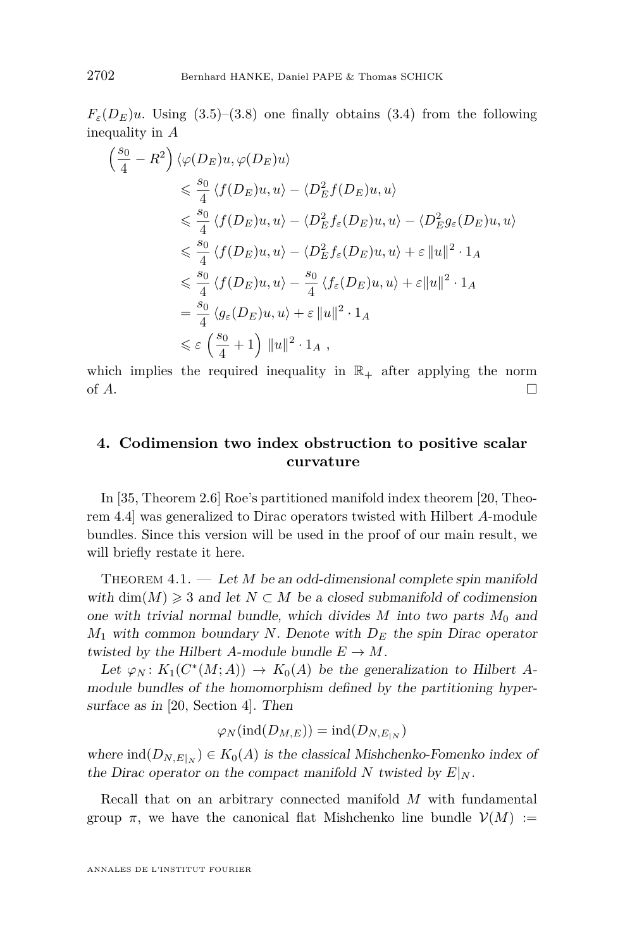<span id="page-22-0"></span> $F_{\varepsilon}(D_E)u$ . Using [\(3.5\)](#page-21-0)–[\(3.8\)](#page-21-0) one finally obtains [\(3.4\)](#page-20-0) from the following inequality in *A*

$$
\begin{split}\n\left(\frac{s_0}{4} - R^2\right) \langle \varphi(D_E)u, \varphi(D_E)u \rangle \\
&\leqslant \frac{s_0}{4} \langle f(D_E)u, u \rangle - \langle D_E^2 f(D_E)u, u \rangle \\
&\leqslant \frac{s_0}{4} \langle f(D_E)u, u \rangle - \langle D_E^2 f_{\varepsilon}(D_E)u, u \rangle - \langle D_E^2 g_{\varepsilon}(D_E)u, u \rangle \\
&\leqslant \frac{s_0}{4} \langle f(D_E)u, u \rangle - \langle D_E^2 f_{\varepsilon}(D_E)u, u \rangle + \varepsilon ||u||^2 \cdot 1_A \\
&\leqslant \frac{s_0}{4} \langle f(D_E)u, u \rangle - \frac{s_0}{4} \langle f_{\varepsilon}(D_E)u, u \rangle + \varepsilon ||u||^2 \cdot 1_A \\
&= \frac{s_0}{4} \langle g_{\varepsilon}(D_E)u, u \rangle + \varepsilon ||u||^2 \cdot 1_A \\
&\leqslant \varepsilon \left(\frac{s_0}{4} + 1\right) ||u||^2 \cdot 1_A,\n\end{split}
$$

which implies the required inequality in  $\mathbb{R}_+$  after applying the norm of  $A$ .

#### **4. Codimension two index obstruction to positive scalar curvature**

In [\[35,](#page-29-0) Theorem 2.6] Roe's partitioned manifold index theorem [\[20,](#page-29-0) Theorem 4.4] was generalized to Dirac operators twisted with Hilbert *A*-module bundles. Since this version will be used in the proof of our main result, we will briefly restate it here.

THEOREM 4.1. — Let *M* be an odd-dimensional complete spin manifold with dim(*M*)  $\geq 3$  and let  $N \subset M$  be a closed submanifold of codimension one with trivial normal bundle, which divides  $M$  into two parts  $M_0$  and *M*<sup>1</sup> with common boundary *N*. Denote with *D<sup>E</sup>* the spin Dirac operator twisted by the Hilbert *A*-module bundle  $E \to M$ .

Let  $\varphi_N$ :  $K_1(C^*(M; A)) \to K_0(A)$  be the generalization to Hilbert *A*module bundles of the homomorphism defined by the partitioning hypersurface as in [\[20,](#page-29-0) Section 4]. Then

$$
\varphi_N(\text{ind}(D_{M,E})) = \text{ind}(D_{N,E_{|N}})
$$

where  $\text{ind}(D_{N,E|_N}) \in K_0(A)$  is the classical Mishchenko-Fomenko index of the Dirac operator on the compact manifold N twisted by  $E|_N$ .

Recall that on an arbitrary connected manifold *M* with fundamental group  $\pi$ , we have the canonical flat Mishchenko line bundle  $\mathcal{V}(M) :=$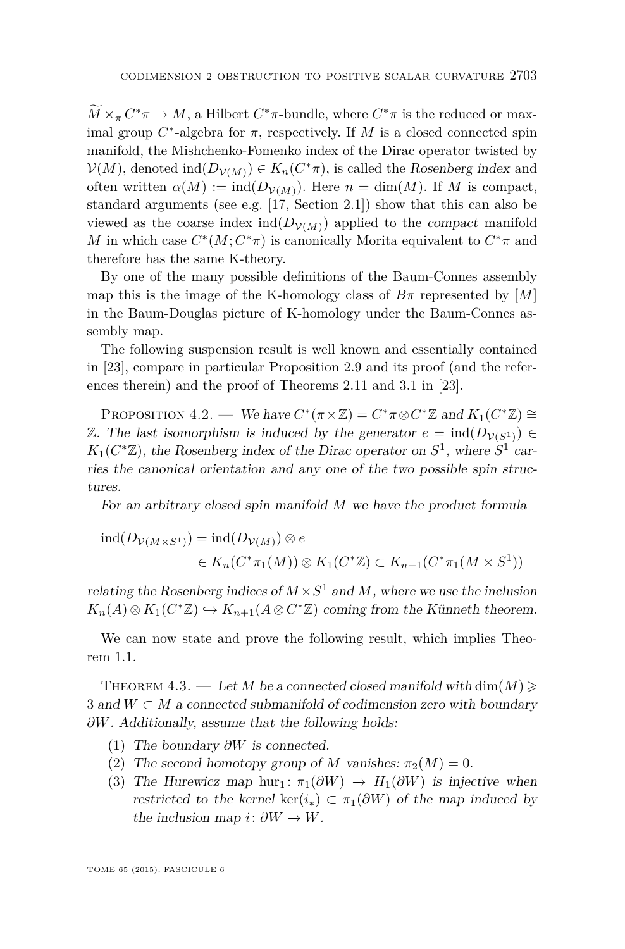<span id="page-23-0"></span> $\overline{M} \times_{\pi} C^* \pi \to M$ , a Hilbert  $C^* \pi$ -bundle, where  $C^* \pi$  is the reduced or maximal group  $C^*$ -algebra for  $\pi$ , respectively. If  $M$  is a closed connected spin manifold, the Mishchenko-Fomenko index of the Dirac operator twisted by  $V(M)$ , denoted  $\text{ind}(D_{V(M)}) \in K_n(C^*\pi)$ , is called the Rosenberg index and often written  $\alpha(M) := \text{ind}(D_{\mathcal{V}(M)})$ . Here  $n = \text{dim}(M)$ . If M is compact, standard arguments (see e.g. [\[17,](#page-29-0) Section 2.1]) show that this can also be viewed as the coarse index ind $(D_{V(M)})$  applied to the *compact* manifold *M* in which case  $C^*(M; C^*\pi)$  is canonically Morita equivalent to  $C^*\pi$  and therefore has the same K-theory.

By one of the many possible definitions of the Baum-Connes assembly map this is the image of the K-homology class of  $B\pi$  represented by [*M*] in the Baum-Douglas picture of K-homology under the Baum-Connes assembly map.

The following suspension result is well known and essentially contained in [\[23\]](#page-29-0), compare in particular Proposition 2.9 and its proof (and the references therein) and the proof of Theorems 2.11 and 3.1 in [\[23\]](#page-29-0).

PROPOSITION 4.2. — We have  $C^*(\pi \times \mathbb{Z}) = C^* \pi \otimes C^* \mathbb{Z}$  and  $K_1(C^* \mathbb{Z}) \cong$ Z. The last isomorphism is induced by the generator  $e = \text{ind}(D_{\mathcal{V}(S^1)})$  $K_1(C^*\mathbb{Z})$ , the Rosenberg index of the Dirac operator on  $S^1$ , where  $S^1$  carries the canonical orientation and any one of the two possible spin structures.

For an arbitrary closed spin manifold *M* we have the product formula

$$
ind(D_{\mathcal{V}(M \times S^1)}) = ind(D_{\mathcal{V}(M)}) \otimes e
$$
  

$$
\in K_n(C^*\pi_1(M)) \otimes K_1(C^*\mathbb{Z}) \subset K_{n+1}(C^*\pi_1(M \times S^1))
$$

relating the Rosenberg indices of  $M \times S^1$  and M, where we use the inclusion  $K_n(A) \otimes K_1(C^* \mathbb{Z}) \hookrightarrow K_{n+1}(A \otimes C^* \mathbb{Z})$  coming from the Künneth theorem.

We can now state and prove the following result, which implies Theorem [1.1.](#page-2-0)

THEOREM 4.3. — Let *M* be a connected closed manifold with  $\dim(M) \geq$ 3 and  $W \subset M$  a connected submanifold of codimension zero with boundary *∂W*. Additionally, assume that the following holds:

- (1) The boundary *∂W* is connected.
- (2) The second homotopy group of *M* vanishes:  $\pi_2(M) = 0$ .
- (3) The Hurewicz map hur<sub>1</sub>:  $\pi_1(\partial W) \to H_1(\partial W)$  is injective when restricted to the kernel ker( $i_*$ )  $\subset \pi_1(\partial W)$  of the map induced by the inclusion map  $i: \partial W \to W$ .

TOME 65 (2015), FASCICULE 6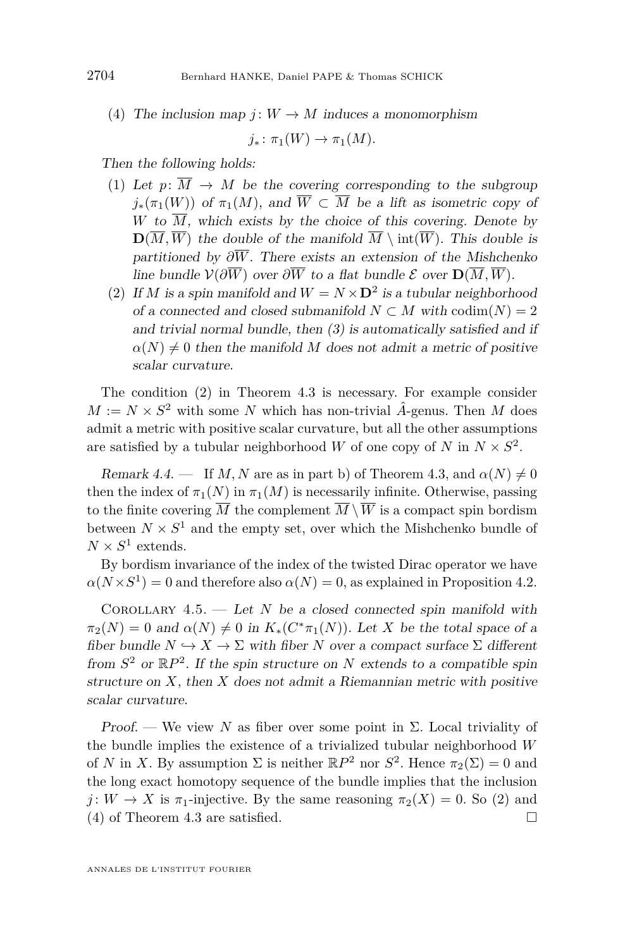(4) The inclusion map  $j: W \to M$  induces a monomorphism

 $j_* : \pi_1(W) \to \pi_1(M)$ .

Then the following holds:

- (1) Let  $p: \overline{M} \to M$  be the covering corresponding to the subgroup  $j_*(\pi_1(W))$  of  $\pi_1(M)$ , and  $\overline{W} \subset \overline{M}$  be a lift as isometric copy of *W* to  $\overline{M}$ , which exists by the choice of this covering. Denote by  $\mathbf{D}(\overline{M}, \overline{W})$  the double of the manifold  $\overline{M} \setminus \text{int}(\overline{W})$ . This double is partitioned by  $\partial \overline{W}$ . There exists an extension of the Mishchenko line bundle  $\mathcal{V}(\partial \overline{W})$  over  $\partial \overline{W}$  to a flat bundle  $\mathcal{E}$  over  $\mathbf{D}(\overline{M}, \overline{W})$ .
- (2) If *M* is a spin manifold and  $W = N \times D^2$  is a tubular neighborhood of a connected and closed submanifold  $N \subset M$  with  $\text{codim}(N) = 2$ and trivial normal bundle, then  $(3)$  is automatically satisfied and if  $\alpha(N) \neq 0$  then the manifold *M* does not admit a metric of positive scalar curvature.

The condition (2) in Theorem [4.3](#page-23-0) is necessary. For example consider  $M := N \times S^2$  with some *N* which has non-trivial  $\hat{A}$ -genus. Then *M* does admit a metric with positive scalar curvature, but all the other assumptions are satisfied by a tubular neighborhood *W* of one copy of *N* in  $N \times S^2$ .

Remark 4.4. — If *M*, *N* are as in part b) of Theorem [4.3,](#page-23-0) and  $\alpha(N) \neq 0$ then the index of  $\pi_1(N)$  in  $\pi_1(M)$  is necessarily infinite. Otherwise, passing to the finite covering  $\overline{M}$  the complement  $\overline{M} \setminus \overline{W}$  is a compact spin bordism between  $N \times S^1$  and the empty set, over which the Mishchenko bundle of  $N \times S^1$  extends.

By bordism invariance of the index of the twisted Dirac operator we have  $\alpha(N \times S^1) = 0$  and therefore also  $\alpha(N) = 0$ , as explained in Proposition [4.2.](#page-23-0)

COROLLARY  $4.5.$  — Let *N* be a closed connected spin manifold with  $\pi_2(N) = 0$  and  $\alpha(N) \neq 0$  in  $K_*(C^*\pi_1(N))$ . Let *X* be the total space of a fiber bundle  $N \hookrightarrow X \to \Sigma$  with fiber *N* over a compact surface  $\Sigma$  different from  $S^2$  or  $\mathbb{R}P^2$ . If the spin structure on *N* extends to a compatible spin structure on  $X$ , then  $X$  does not admit a Riemannian metric with positive scalar curvature.

Proof. — We view N as fiber over some point in  $\Sigma$ . Local triviality of the bundle implies the existence of a trivialized tubular neighborhood *W* of *N* in *X*. By assumption  $\Sigma$  is neither  $\mathbb{R}P^2$  nor  $S^2$ . Hence  $\pi_2(\Sigma) = 0$  and the long exact homotopy sequence of the bundle implies that the inclusion *j* : *W*  $\rightarrow$  *X* is  $\pi_1$ -injective. By the same reasoning  $\pi_2(X) = 0$ . So (2) and (4) of Theorem [4.3](#page-23-0) are satisfied.  $\square$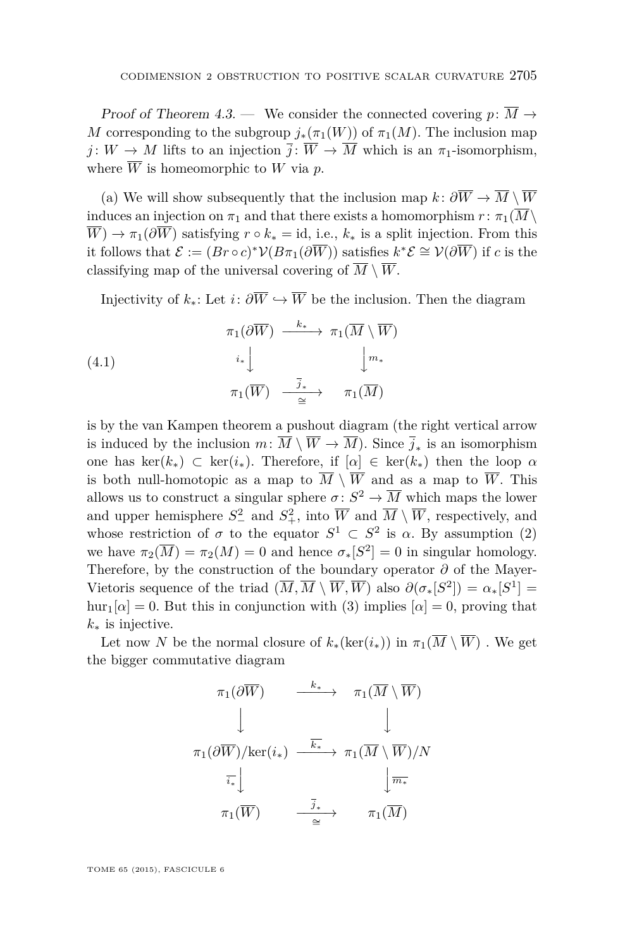<span id="page-25-0"></span>Proof of Theorem [4.3.](#page-23-0) — We consider the connected covering  $p: \overline{M} \to$ *M* corresponding to the subgroup  $j_*(\pi_1(W))$  of  $\pi_1(M)$ . The inclusion map *j* :  $W \to M$  lifts to an injection  $\overline{j}$  :  $\overline{W} \to \overline{M}$  which is an  $\pi_1$ -isomorphism, where  $\overline{W}$  is homeomorphic to  $W$  via  $p$ .

(a) We will show subsequently that the inclusion map  $k: \partial \overline{W} \to \overline{M} \setminus \overline{W}$ induces an injection on  $\pi_1$  and that there exists a homomorphism  $r : \pi_1(\overline{M}\setminus\mathbb{R})$  $\overline{W}$ )  $\rightarrow \pi_1(\partial \overline{W})$  satisfying  $r \circ k_* = \text{id}$ , i.e.,  $k_*$  is a split injection. From this it follows that  $\mathcal{E} := (Br \circ c)^* \mathcal{V}(B\pi_1(\partial \overline{W}))$  satisfies  $k^* \mathcal{E} \cong \mathcal{V}(\partial \overline{W})$  if *c* is the classifying map of the universal covering of  $\overline{M} \setminus \overline{W}$ .

Injectivity of  $k_*$ : Let  $i: \partial \overline{W} \hookrightarrow \overline{W}$  be the inclusion. Then the diagram

(4.1) 
$$
\begin{array}{ccc}\n\pi_1(\partial \overline{W}) & \xrightarrow{k_*} & \pi_1(\overline{M} \setminus \overline{W}) \\
& & \downarrow^* & \downarrow^* \\
& & \pi_1(\overline{W}) & \xrightarrow{\overline{j}_*} & \pi_1(\overline{M})\n\end{array}
$$

is by the van Kampen theorem a pushout diagram (the right vertical arrow is induced by the inclusion  $m: M \setminus W \to M$ ). Since  $j_*$  is an isomorphism one has ker( $k_*$ ) ⊂ ker( $i_*$ ). Therefore, if  $[\alpha] \in \text{ker}(k_*)$  then the loop  $\alpha$ is both null-homotopic as a map to  $\overline{M} \setminus \overline{W}$  and as a map to  $\overline{W}$ . This allows us to construct a singular sphere  $\sigma: S^2 \to \overline{M}$  which maps the lower and upper hemisphere  $S^2_{-}$  and  $S^2_{+}$ , into  $\overline{W}$  and  $\overline{M} \setminus \overline{W}$ , respectively, and whose restriction of  $\sigma$  to the equator  $S^1 \subset S^2$  is  $\alpha$ . By assumption (2) we have  $\pi_2(\overline{M}) = \pi_2(M) = 0$  and hence  $\sigma_*[S^2] = 0$  in singular homology. Therefore, by the construction of the boundary operator *∂* of the Mayer-Vietoris sequence of the triad  $(\overline{M}, \overline{M} \setminus \overline{W}, \overline{W})$  also  $\partial(\sigma_*[S^2]) = \alpha_*[S^1] =$  $hur_1[\alpha] = 0$ . But this in conjunction with (3) implies  $[\alpha] = 0$ , proving that *k*<sup>∗</sup> is injective.

Let now *N* be the normal closure of  $k_*(\ker(i_*))$  in  $\pi_1(\overline{M} \setminus \overline{W})$ . We get the bigger commutative diagram

$$
\pi_1(\partial \overline{W}) \longrightarrow \pi_1(\overline{M} \setminus \overline{W})
$$
\n
$$
\downarrow \qquad \qquad \downarrow
$$
\n
$$
\pi_1(\partial \overline{W})/\text{ker}(i_*) \longrightarrow \pi_1(\overline{M} \setminus \overline{W})/N
$$
\n
$$
\overline{i_*} \downarrow \qquad \qquad \downarrow \overline{m_*}
$$
\n
$$
\pi_1(\overline{W}) \longrightarrow \overline{j_*} \qquad \qquad \pi_1(\overline{M})
$$

TOME 65 (2015), FASCICULE 6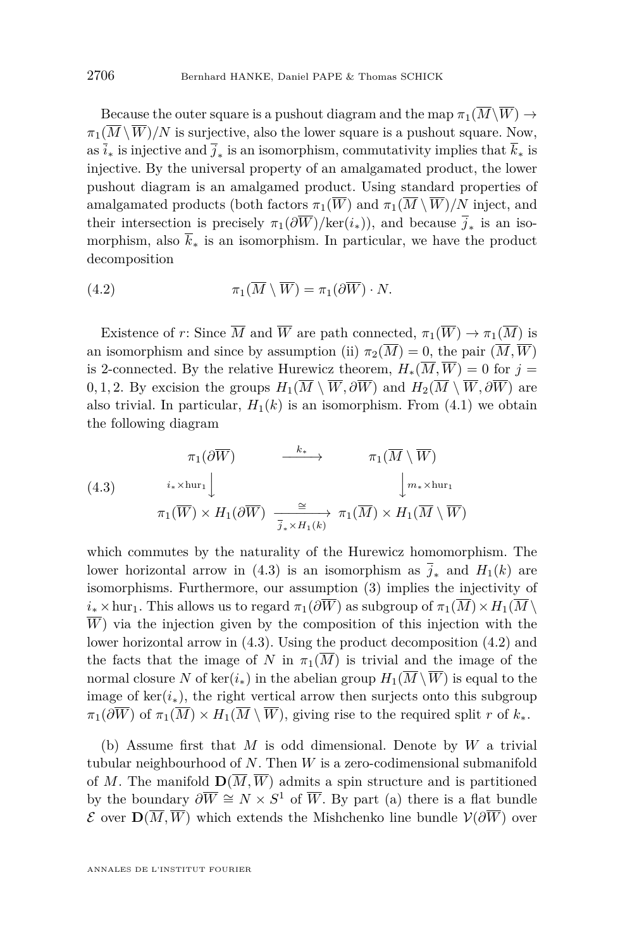Because the outer square is a pushout diagram and the map  $\pi_1(\overline{M}\setminus\overline{W}) \to$  $\pi_1(\overline{M}\setminus\overline{W})/N$  is surjective, also the lower square is a pushout square. Now, as *i*<sup>∗</sup> is injective and *j*<sup>∗</sup> is an isomorphism, commutativity implies that *k*<sup>∗</sup> is injective. By the universal property of an amalgamated product, the lower pushout diagram is an amalgamed product. Using standard properties of amalgamated products (both factors  $\pi_1(\overline{W})$  and  $\pi_1(\overline{M} \setminus \overline{W})/N$  inject, and their intersection is precisely  $\pi_1(\partial W)/\text{ker}(i_*)$ , and because  $j_*$  is an isomorphism, also  $\bar{k}_*$  is an isomorphism. In particular, we have the product decomposition

(4.2) 
$$
\pi_1(\overline{M}\setminus\overline{W})=\pi_1(\partial\overline{W})\cdot N.
$$

Existence of *r*: Since  $\overline{M}$  and  $\overline{W}$  are path connected,  $\pi_1(\overline{W}) \to \pi_1(\overline{M})$  is an isomorphism and since by assumption (ii)  $\pi_2(\overline{M}) = 0$ , the pair  $(\overline{M}, \overline{W})$ is 2-connected. By the relative Hurewicz theorem,  $H_*(\overline{M}, \overline{W}) = 0$  for  $j =$ 0, 1, 2. By excision the groups  $H_1(\overline{M} \setminus \overline{W}, \partial \overline{W})$  and  $H_2(\overline{M} \setminus \overline{W}, \partial \overline{W})$  are also trivial. In particular,  $H_1(k)$  is an isomorphism. From [\(4.1\)](#page-25-0) we obtain the following diagram

(4.3) 
$$
\pi_1(\partial \overline{W}) \longrightarrow \pi_1(\overline{M} \setminus \overline{W})
$$

$$
\pi_1(\overline{W}) \times H_1(\partial \overline{W}) \xrightarrow{\cong} \pi_1(\overline{M} \setminus \overline{M})
$$

$$
\pi_1(\overline{W}) \times H_1(\partial \overline{W}) \xrightarrow{\cong} \pi_1(\overline{M}) \times H_1(\overline{M} \setminus \overline{W})
$$

which commutes by the naturality of the Hurewicz homomorphism. The lower horizontal arrow in (4.3) is an isomorphism as  $\overline{j}_*$  and  $H_1(k)$  are isomorphisms. Furthermore, our assumption (3) implies the injectivity of  $i_* \times$ hur<sub>1</sub>. This allows us to regard  $\pi_1(\partial \overline{W})$  as subgroup of  $\pi_1(\overline{M}) \times H_1(\overline{M} \setminus$  $\overline{W}$ ) via the injection given by the composition of this injection with the lower horizontal arrow in (4.3). Using the product decomposition (4.2) and the facts that the image of *N* in  $\pi_1(\overline{M})$  is trivial and the image of the normal closure *N* of ker $(i_*)$  in the abelian group  $H_1(\overline{M} \setminus \overline{W})$  is equal to the image of  $\ker(i_*)$ , the right vertical arrow then surjects onto this subgroup  $\pi_1(\partial \overline{W})$  of  $\pi_1(\overline{M}) \times H_1(\overline{M} \setminus \overline{W})$ , giving rise to the required split *r* of  $k_*$ .

(b) Assume first that *M* is odd dimensional. Denote by *W* a trivial tubular neighbourhood of *N*. Then *W* is a zero-codimensional submanifold of M. The manifold  $\mathbf{D}(\overline{M}, \overline{W})$  admits a spin structure and is partitioned by the boundary  $\partial \overline{W} \cong N \times S^1$  of  $\overline{W}$ . By part (a) there is a flat bundle E over **D**(*M, W*) which extends the Mishchenko line bundle V(*∂W*) over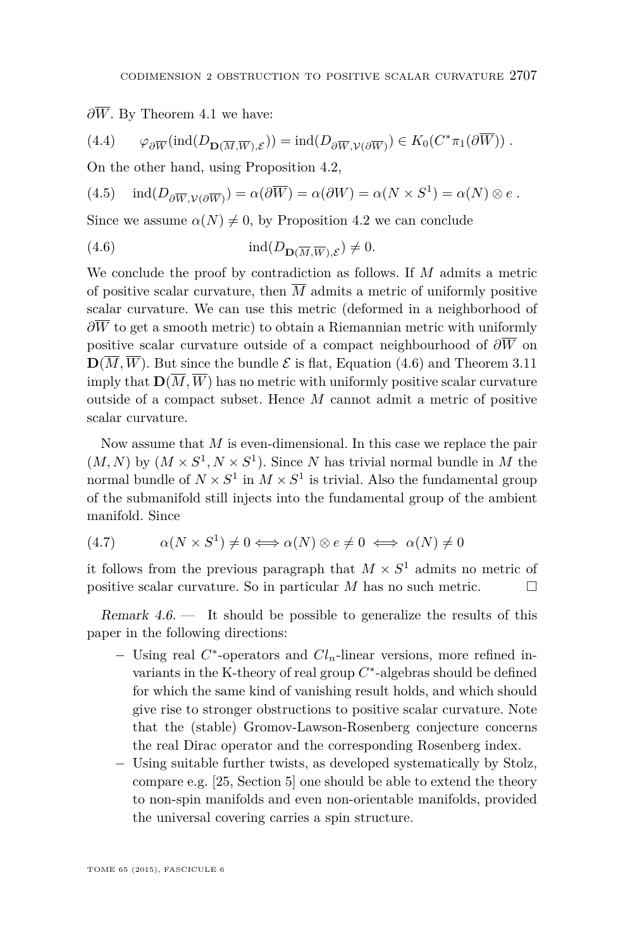$\partial \overline{W}$ . By Theorem [4.1](#page-22-0) we have:

(4.4) 
$$
\varphi_{\partial \overline{W}}(\text{ind}(D_{\mathbf{D}(\overline{M}, \overline{W}), \mathcal{E}})) = \text{ind}(D_{\partial \overline{W}, \mathcal{V}(\partial \overline{W})}) \in K_0(C^* \pi_1(\partial \overline{W})) .
$$

On the other hand, using Proposition [4.2,](#page-23-0)

(4.5) 
$$
\operatorname{ind}(D_{\partial \overline{W}, \mathcal{V}(\partial \overline{W})}) = \alpha(\partial \overline{W}) = \alpha(\partial W) = \alpha(N \times S^1) = \alpha(N) \otimes e.
$$

Since we assume  $\alpha(N) \neq 0$ , by Proposition [4.2](#page-23-0) we can conclude

(4.6) 
$$
\operatorname{ind}(D_{\mathbf{D}(\overline{M}, \overline{W}), \mathcal{E}}) \neq 0.
$$

We conclude the proof by contradiction as follows. If *M* admits a metric of positive scalar curvature, then  $\overline{M}$  admits a metric of uniformly positive scalar curvature. We can use this metric (deformed in a neighborhood of  $\partial \overline{W}$  to get a smooth metric) to obtain a Riemannian metric with uniformly positive scalar curvature outside of a compact neighbourhood of *∂W* on  $\mathbf{D}(\overline{M}, \overline{W})$ . But since the bundle  $\mathcal{E}$  is flat, Equation (4.6) and Theorem [3.11](#page-18-0) imply that  $\mathbf{D}(\overline{M}, \overline{W})$  has no metric with uniformly positive scalar curvature outside of a compact subset. Hence *M* cannot admit a metric of positive scalar curvature.

Now assume that *M* is even-dimensional. In this case we replace the pair  $(M, N)$  by  $(M \times S^1, N \times S^1)$ . Since *N* has trivial normal bundle in *M* the normal bundle of  $N \times S^1$  in  $M \times S^1$  is trivial. Also the fundamental group of the submanifold still injects into the fundamental group of the ambient manifold. Since

$$
(4.7) \qquad \alpha(N \times S^1) \neq 0 \Longleftrightarrow \alpha(N) \otimes e \neq 0 \iff \alpha(N) \neq 0
$$

it follows from the previous paragraph that  $M \times S^1$  admits no metric of positive scalar curvature. So in particular *M* has no such metric.  $\Box$ 

Remark  $4.6.$  It should be possible to generalize the results of this paper in the following directions:

- Using real  $C^*$ -operators and  $Cl_n$ -linear versions, more refined invariants in the K-theory of real group  $C^*$ -algebras should be defined for which the same kind of vanishing result holds, and which should give rise to stronger obstructions to positive scalar curvature. Note that the (stable) Gromov-Lawson-Rosenberg conjecture concerns the real Dirac operator and the corresponding Rosenberg index.
- − Using suitable further twists, as developed systematically by Stolz, compare e.g. [\[25,](#page-29-0) Section 5] one should be able to extend the theory to non-spin manifolds and even non-orientable manifolds, provided the universal covering carries a spin structure.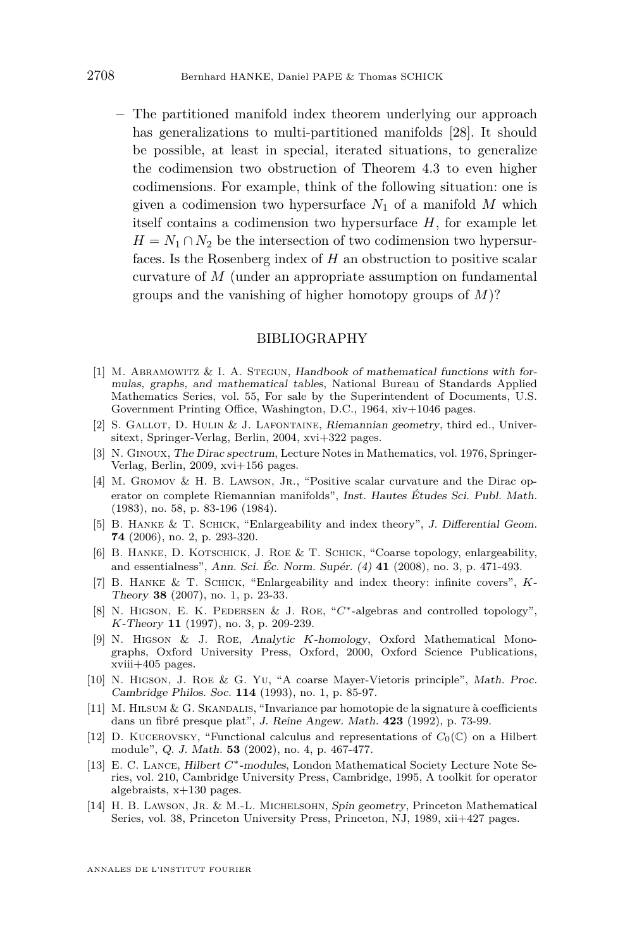<span id="page-28-0"></span>− The partitioned manifold index theorem underlying our approach has generalizations to multi-partitioned manifolds [\[28\]](#page-29-0). It should be possible, at least in special, iterated situations, to generalize the codimension two obstruction of Theorem [4.3](#page-23-0) to even higher codimensions. For example, think of the following situation: one is given a codimension two hypersurface  $N_1$  of a manifold  $M$  which itself contains a codimension two hypersurface *H*, for example let  $H = N_1 \cap N_2$  be the intersection of two codimension two hypersurfaces. Is the Rosenberg index of *H* an obstruction to positive scalar curvature of *M* (under an appropriate assumption on fundamental groups and the vanishing of higher homotopy groups of *M*)?

#### BIBLIOGRAPHY

- [1] M. ABRAMOWITZ  $&$  I. A. STEGUN, Handbook of mathematical functions with formulas, graphs, and mathematical tables, National Bureau of Standards Applied Mathematics Series, vol. 55, For sale by the Superintendent of Documents, U.S. Government Printing Office, Washington, D.C., 1964, xiv+1046 pages.
- [2] S. GALLOT, D. HULIN & J. LAFONTAINE, Riemannian geometry, third ed., Universitext, Springer-Verlag, Berlin, 2004, xvi+322 pages.
- [3] N. Ginoux, The Dirac spectrum, Lecture Notes in Mathematics, vol. 1976, Springer-Verlag, Berlin, 2009, xvi+156 pages.
- [4] M. GROMOV & H. B. LAWSON, JR., "Positive scalar curvature and the Dirac operator on complete Riemannian manifolds", Inst. Hautes Études Sci. Publ. Math. (1983), no. 58, p. 83-196 (1984).
- [5] B. HANKE & T. SCHICK, "Enlargeability and index theory", J. Differential Geom. **74** (2006), no. 2, p. 293-320.
- [6] B. HANKE, D. KOTSCHICK, J. ROE & T. SCHICK, "Coarse topology, enlargeability, and essentialness", Ann. Sci. Éc. Norm. Supér. (4) **41** (2008), no. 3, p. 471-493.
- [7] B. Hanke & T. Schick, "Enlargeability and index theory: infinite covers", *K*-Theory **38** (2007), no. 1, p. 23-33.
- [8] N. Higson, E. K. Pedersen & J. Roe, "*C*∗-algebras and controlled topology", *K*-Theory **11** (1997), no. 3, p. 209-239.
- [9] N. Higson & J. Roe, Analytic *K*-homology, Oxford Mathematical Monographs, Oxford University Press, Oxford, 2000, Oxford Science Publications, xviii+405 pages.
- [10] N. Higson, J. Roe & G. Yu, "A coarse Mayer-Vietoris principle", Math. Proc. Cambridge Philos. Soc. **114** (1993), no. 1, p. 85-97.
- [11] M. Hilsum & G. Skandalis, "Invariance par homotopie de la signature à coefficients dans un fibré presque plat", J. Reine Angew. Math. **423** (1992), p. 73-99.
- [12] D. KUCEROVSKY, "Functional calculus and representations of  $C_0(\mathbb{C})$  on a Hilbert module", Q. J. Math. **53** (2002), no. 4, p. 467-477.
- [13] E. C. Lance, Hilbert *C*∗-modules, London Mathematical Society Lecture Note Series, vol. 210, Cambridge University Press, Cambridge, 1995, A toolkit for operator algebraists, x+130 pages.
- [14] H. B. Lawson, Jr. & M.-L. Michelsohn, Spin geometry, Princeton Mathematical Series, vol. 38, Princeton University Press, Princeton, NJ, 1989, xii+427 pages.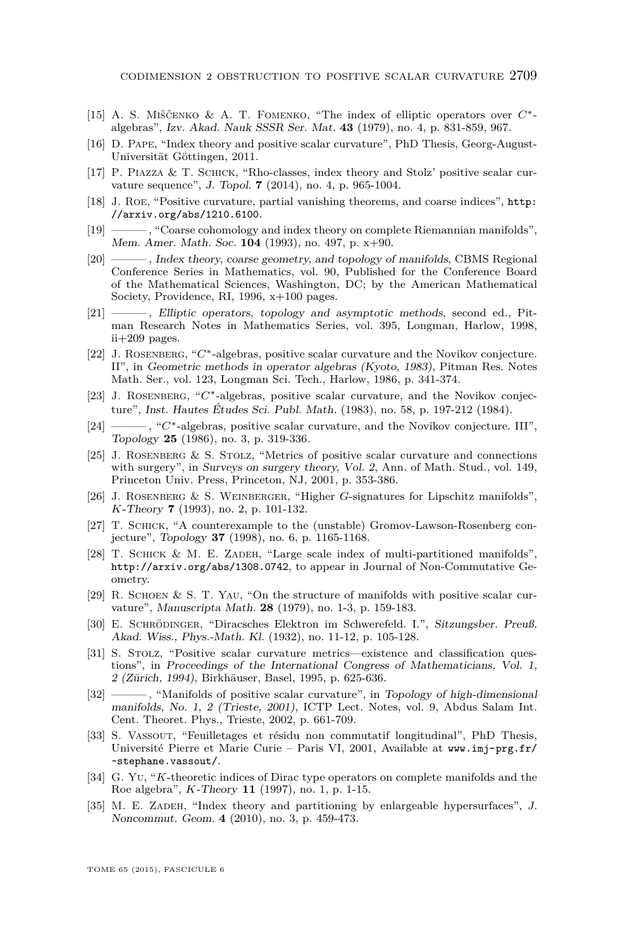- <span id="page-29-0"></span>[15] A. S. Miščenko & A. T. Fomenko, "The index of elliptic operators over *C*∗ algebras", Izv. Akad. Nauk SSSR Ser. Mat. **43** (1979), no. 4, p. 831-859, 967.
- [16] D. PAPE, "Index theory and positive scalar curvature", PhD Thesis, Georg-August-Universität Göttingen, 2011.
- [17] P. PIAZZA & T. SCHICK, "Rho-classes, index theory and Stolz' positive scalar curvature sequence", J. Topol. **7** (2014), no. 4, p. 965-1004.
- [18] J. Roe, "Positive curvature, partial vanishing theorems, and coarse indices", [http:](http://arxiv.org/abs/1210.6100) [//arxiv.org/abs/1210.6100](http://arxiv.org/abs/1210.6100).
- [19] ——— , "Coarse cohomology and index theory on complete Riemannian manifolds", Mem. Amer. Math. Soc. **104** (1993), no. 497, p. x+90.
- [20] ——— , Index theory, coarse geometry, and topology of manifolds, CBMS Regional Conference Series in Mathematics, vol. 90, Published for the Conference Board of the Mathematical Sciences, Washington, DC; by the American Mathematical Society, Providence, RI, 1996, x+100 pages.
- [21] ——— , Elliptic operators, topology and asymptotic methods, second ed., Pitman Research Notes in Mathematics Series, vol. 395, Longman, Harlow, 1998, ii+209 pages.
- [22] J. Rosenberg, "*C*∗-algebras, positive scalar curvature and the Novikov conjecture. II", in Geometric methods in operator algebras (Kyoto, 1983), Pitman Res. Notes Math. Ser., vol. 123, Longman Sci. Tech., Harlow, 1986, p. 341-374.
- [23] J. Rosenberg, "*C*∗-algebras, positive scalar curvature, and the Novikov conjecture", Inst. Hautes Études Sci. Publ. Math. (1983), no. 58, p. 197-212 (1984).
- [24] ——— , "*C*∗-algebras, positive scalar curvature, and the Novikov conjecture. III", Topology **25** (1986), no. 3, p. 319-336.
- [25] J. Rosenberg & S. Stolz, "Metrics of positive scalar curvature and connections with surgery", in Surveys on surgery theory, Vol. 2, Ann. of Math. Stud., vol. 149, Princeton Univ. Press, Princeton, NJ, 2001, p. 353-386.
- [26] J. ROSENBERG & S. WEINBERGER, "Higher *G*-signatures for Lipschitz manifolds", *K*-Theory **7** (1993), no. 2, p. 101-132.
- [27] T. Schick, "A counterexample to the (unstable) Gromov-Lawson-Rosenberg conjecture", Topology **37** (1998), no. 6, p. 1165-1168.
- [28] T. SCHICK & M. E. ZADEH, "Large scale index of multi-partitioned manifolds", <http://arxiv.org/abs/1308.0742>, to appear in Journal of Non-Commutative Geometry.
- [29] R. Schoen & S. T. Yau, "On the structure of manifolds with positive scalar curvature", Manuscripta Math. **28** (1979), no. 1-3, p. 159-183.
- [30] E. Schrödinger, "Diracsches Elektron im Schwerefeld. I.", Sitzungsber. Preuß. Akad. Wiss., Phys.-Math. Kl. (1932), no. 11-12, p. 105-128.
- [31] S. Stolz, "Positive scalar curvature metrics—existence and classification questions", in Proceedings of the International Congress of Mathematicians, Vol. 1, 2 (Zürich, 1994), Birkhäuser, Basel, 1995, p. 625-636.
- [32] ——— , "Manifolds of positive scalar curvature", in Topology of high-dimensional manifolds, No. 1, 2 (Trieste, 2001), ICTP Lect. Notes, vol. 9, Abdus Salam Int. Cent. Theoret. Phys., Trieste, 2002, p. 661-709.
- [33] S. Vassout, "Feuilletages et résidu non commutatif longitudinal", PhD Thesis, Université Pierre et Marie Curie – Paris VI, 2001, Available at [www.imj-prg.fr/](www.imj-prg.fr/~stephane.vassout/) [~stephane.vassout/](www.imj-prg.fr/~stephane.vassout/).
- [34] G. Yu, "*K*-theoretic indices of Dirac type operators on complete manifolds and the Roe algebra", *K*-Theory **11** (1997), no. 1, p. 1-15.
- [35] M. E. ZADEH, "Index theory and partitioning by enlargeable hypersurfaces", J. Noncommut. Geom. **4** (2010), no. 3, p. 459-473.